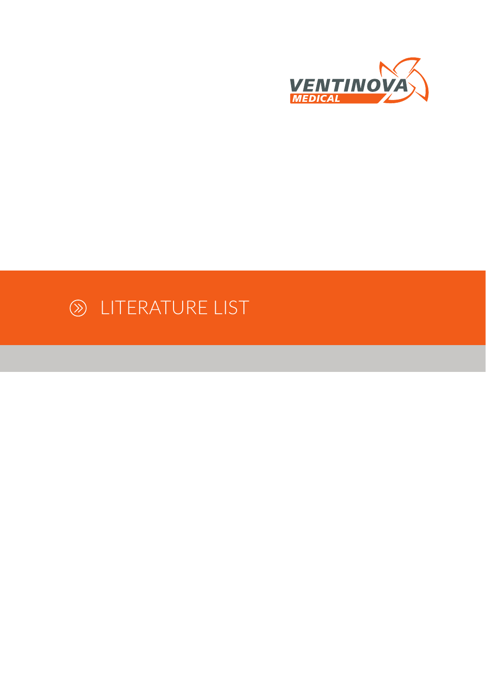

# LITERATURE LIST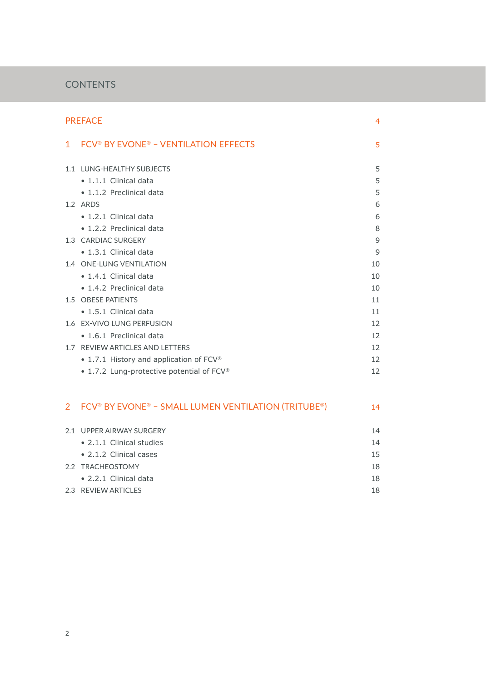# **CONTENTS**

| <b>PREFACE</b> |                                                     |                          |
|----------------|-----------------------------------------------------|--------------------------|
| $\mathbf 1$    | FCV <sup>®</sup> BY EVONE® - VENTILATION EFFECTS    | 5                        |
|                | 1.1 LUNG-HEALTHY SUBJECTS                           | 5                        |
|                | · 1.1.1 Clinical data                               | 5                        |
|                | • 1.1.2 Preclinical data                            | 5                        |
|                | 1.2 ARDS                                            | 6                        |
|                | · 1.2.1 Clinical data                               | 6                        |
|                | • 1.2.2 Preclinical data                            | 8                        |
|                | 1.3 CARDIAC SURGERY                                 | 9                        |
|                | • 1.3.1 Clinical data                               | 9                        |
|                | 1.4 ONE-LUNG VENTILATION                            | 10                       |
|                | • 1.4.1 Clinical data                               | 10                       |
|                | • 1.4.2 Preclinical data                            | 10                       |
|                | 1.5 OBESE PATIENTS                                  | 11                       |
|                | $\bullet$ 1.5.1 Clinical data                       | 11                       |
|                | 1.6 EX-VIVO LUNG PERFUSION                          | 12                       |
|                | • 1.6.1 Preclinical data                            | 12                       |
|                | 1.7 REVIEW ARTICLES AND LETTERS                     | 12                       |
|                | • 1.7.1 History and application of FCV®             | 12                       |
|                | • 1.7.2 Lung-protective potential of FCV®           | 12                       |
| $\overline{2}$ | FCV® BY EVONE® - SMALL LUMEN VENTILATION (TRITUBE®) | 14                       |
|                | 2.1 UPPER AIRWAY SURGERY                            | 14                       |
|                | • 2.1.1 Clinical studies                            | 14                       |
|                | • 2.1.2 Clinical cases                              | 15                       |
|                |                                                     | $\overline{\phantom{0}}$ |

2.2 TRACHEOSTOMY 18 • 2.2.1 Clinical data 18

| 2.3 REVIEW ARTICLES |
|---------------------|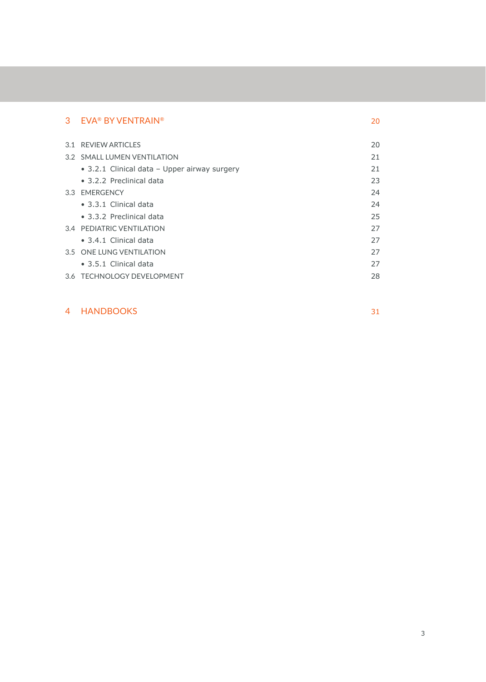| 3 | <b>EVA® BY VENTRAIN®</b>                     | 20 |
|---|----------------------------------------------|----|
|   | 3.1 REVIEW ARTICLES                          | 20 |
|   | 3.2 SMALL LUMEN VENTILATION                  | 21 |
|   | • 3.2.1 Clinical data - Upper airway surgery | 21 |
|   | • 3.2.2 Preclinical data                     | 23 |
|   | 3.3 EMERGENCY                                | 24 |
|   | • 3.3.1 Clinical data                        | 24 |
|   | • 3.3.2 Preclinical data                     | 25 |
|   | 3.4 PEDIATRIC VENTILATION                    | 27 |
|   | • 3.4.1 Clinical data                        | 27 |
|   | 3.5 ONE LUNG VENTILATION                     | 27 |
|   | • 3.5.1 Clinical data                        | 27 |
|   | 3.6 TECHNOLOGY DEVELOPMENT                   | 28 |

# 4 HANDBOOKS 31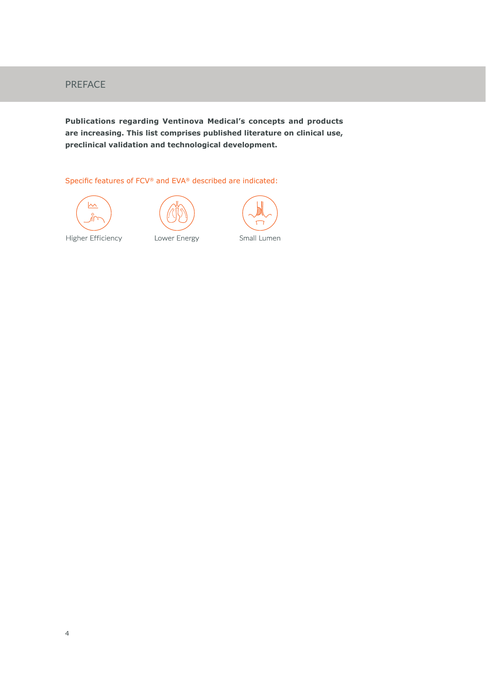# PREFACE

**Publications regarding Ventinova Medical's concepts and products are increasing. This list comprises published literature on clinical use, preclinical validation and technological development.** 

Specific features of FCV® and EVA® described are indicated:









Higher Efficiency

Lower Energy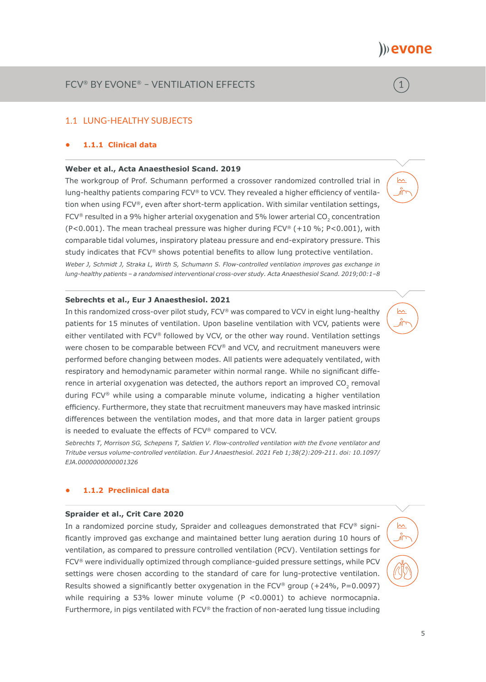1

 $\sim$ 

 $\sim$ 

 $\sim$ 

# 1.1 LUNG-HEALTHY SUBJECTS

# **• 1.1.1 Clinical data**

# **Weber et al., Acta Anaesthesiol Scand. 2019**

The workgroup of Prof. Schumann performed a crossover randomized controlled trial in lung-healthy patients comparing FCV® to VCV. They revealed a higher efficiency of ventilation when using FCV®, even after short-term application. With similar ventilation settings,  $FCV<sup>®</sup>$  resulted in a 9% higher arterial oxygenation and 5% lower arterial CO<sub>2</sub> concentration (P<0.001). The mean tracheal pressure was higher during FCV® (+10 %; P<0.001), with comparable tidal volumes, inspiratory plateau pressure and end-expiratory pressure. This study indicates that FCV® shows potential benefits to allow lung protective ventilation. *Weber J, Schmidt J, Straka L, Wirth S, Schumann S. Flow-controlled ventilation improves gas exchange in lung-healthy patients – a randomised interventional cross-over study. Acta Anaesthesiol Scand. 2019;00:1–8*

# **Sebrechts et al., Eur J Anaesthesiol. 2021**

In this randomized cross-over pilot study, FCV® was compared to VCV in eight lung-healthy patients for 15 minutes of ventilation. Upon baseline ventilation with VCV, patients were either ventilated with FCV® followed by VCV, or the other way round. Ventilation settings were chosen to be comparable between FCV® and VCV, and recruitment maneuvers were performed before changing between modes. All patients were adequately ventilated, with respiratory and hemodynamic parameter within normal range. While no significant difference in arterial oxygenation was detected, the authors report an improved CO<sub>2</sub> removal during FCV® while using a comparable minute volume, indicating a higher ventilation efficiency. Furthermore, they state that recruitment maneuvers may have masked intrinsic differences between the ventilation modes, and that more data in larger patient groups is needed to evaluate the effects of FCV® compared to VCV.

*Sebrechts T, Morrison SG, Schepens T, Saldien V. Flow-controlled ventilation with the Evone ventilator and Tritube versus volume-controlled ventilation. Eur J Anaesthesiol. 2021 Feb 1;38(2):209-211. doi: 10.1097/ EJA.0000000000001326*

# **• 1.1.2 Preclinical data**

# **Spraider et al., Crit Care 2020**

In a randomized porcine study, Spraider and colleagues demonstrated that FCV® significantly improved gas exchange and maintained better lung aeration during 10 hours of ventilation, as compared to pressure controlled ventilation (PCV). Ventilation settings for FCV® were individually optimized through compliance-guided pressure settings, while PCV settings were chosen according to the standard of care for lung-protective ventilation. Results showed a significantly better oxygenation in the  $FCV^{\otimes}$  group (+24%, P=0.0097) while requiring a 53% lower minute volume (P <0.0001) to achieve normocapnia. Furthermore, in pigs ventilated with FCV® the fraction of non-aerated lung tissue including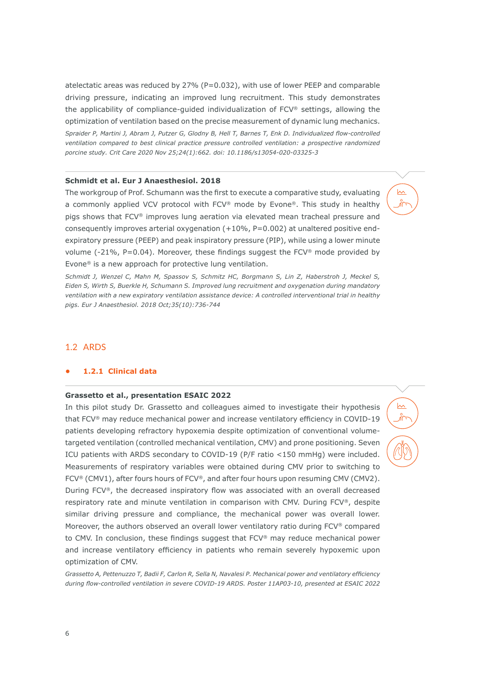atelectatic areas was reduced by  $27\%$  (P=0.032), with use of lower PEEP and comparable driving pressure, indicating an improved lung recruitment. This study demonstrates the applicability of compliance-guided individualization of FCV® settings, allowing the optimization of ventilation based on the precise measurement of dynamic lung mechanics.

*Spraider P, Martini J, Abram J, Putzer G, Glodny B, Hell T, Barnes T, Enk D. Individualized flow-controlled ventilation compared to best clinical practice pressure controlled ventilation: a prospective randomized porcine study. Crit Care 2020 Nov 25;24(1):662. doi: 10.1186/s13054-020-03325-3*

### **Schmidt et al. Eur J Anaesthesiol. 2018**

The workgroup of Prof. Schumann was the first to execute a comparative study, evaluating a commonly applied VCV protocol with FCV® mode by Evone®. This study in healthy pigs shows that FCV® improves lung aeration via elevated mean tracheal pressure and consequently improves arterial oxygenation  $(+10\%, P=0.002)$  at unaltered positive endexpiratory pressure (PEEP) and peak inspiratory pressure (PIP), while using a lower minute volume (-21%, P=0.04). Moreover, these findings suggest the  $FCV^{\otimes}$  mode provided by Evone® is a new approach for protective lung ventilation.

 $\sim$ Ж

∣∧∧

*Schmidt J, Wenzel C, Mahn M, Spassov S, Schmitz HC, Borgmann S, Lin Z, Haberstroh J, Meckel S, Eiden S, Wirth S, Buerkle H, Schumann S. Improved lung recruitment and oxygenation during mandatory ventilation with a new expiratory ventilation assistance device: A controlled interventional trial in healthy pigs. Eur J Anaesthesiol. 2018 Oct;35(10):736-744*

# 1.2 ARDS

# **• 1.2.1 Clinical data**

# **Grassetto et al., presentation ESAIC 2022**

In this pilot study Dr. Grassetto and colleagues aimed to investigate their hypothesis that FCV® may reduce mechanical power and increase ventilatory efficiency in COVID-19 patients developing refractory hypoxemia despite optimization of conventional volumetargeted ventilation (controlled mechanical ventilation, CMV) and prone positioning. Seven ICU patients with ARDS secondary to COVID-19 (P/F ratio <150 mmHg) were included. Measurements of respiratory variables were obtained during CMV prior to switching to FCV<sup>®</sup> (CMV1), after fours hours of FCV<sup>®</sup>, and after four hours upon resuming CMV (CMV2). During FCV®, the decreased inspiratory flow was associated with an overall decreased respiratory rate and minute ventilation in comparison with CMV. During FCV®, despite similar driving pressure and compliance, the mechanical power was overall lower. Moreover, the authors observed an overall lower ventilatory ratio during FCV® compared to CMV. In conclusion, these findings suggest that FCV® may reduce mechanical power and increase ventilatory efficiency in patients who remain severely hypoxemic upon optimization of CMV.

*Grassetto A, Pettenuzzo T, Badii F, Carlon R, Sella N, Navalesi P. Mechanical power and ventilatory efficiency during flow-controlled ventilation in severe COVID-19 ARDS. Poster 11AP03-10, presented at ESAIC 2022*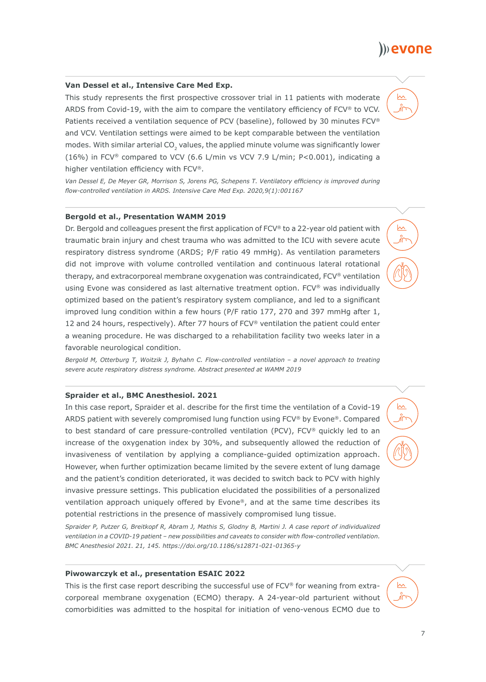# **Van Dessel et al., Intensive Care Med Exp.**

This study represents the first prospective crossover trial in 11 patients with moderate ARDS from Covid-19, with the aim to compare the ventilatory efficiency of FCV® to VCV. Patients received a ventilation sequence of PCV (baseline), followed by 30 minutes FCV® and VCV. Ventilation settings were aimed to be kept comparable between the ventilation modes. With similar arterial CO<sub>2</sub> values, the applied minute volume was significantly lower (16%) in FCV® compared to VCV (6.6 L/min vs VCV 7.9 L/min; P<0.001), indicating a higher ventilation efficiency with FCV®.

*Van Dessel E, De Meyer GR, Morrison S, Jorens PG, Schepens T. Ventilatory efficiency is improved during flow-controlled ventilation in ARDS. Intensive Care Med Exp. 2020,9(1):001167*

# **Bergold et al., Presentation WAMM 2019**

Dr. Bergold and colleagues present the first application of FCV® to a 22-year old patient with traumatic brain injury and chest trauma who was admitted to the ICU with severe acute respiratory distress syndrome (ARDS; P/F ratio 49 mmHg). As ventilation parameters did not improve with volume controlled ventilation and continuous lateral rotational therapy, and extracorporeal membrane oxygenation was contraindicated, FCV® ventilation using Evone was considered as last alternative treatment option. FCV® was individually optimized based on the patient's respiratory system compliance, and led to a significant improved lung condition within a few hours (P/F ratio 177, 270 and 397 mmHg after 1, 12 and 24 hours, respectively). After 77 hours of FCV® ventilation the patient could enter a weaning procedure. He was discharged to a rehabilitation facility two weeks later in a favorable neurological condition.

*Bergold M, Otterburg T, Woitzik J, Byhahn C. Flow-controlled ventilation – a novel approach to treating severe acute respiratory distress syndrome. Abstract presented at WAMM 2019*

# **Spraider et al., BMC Anesthesiol. 2021**

In this case report, Spraider et al. describe for the first time the ventilation of a Covid-19 ARDS patient with severely compromised lung function using FCV® by Evone®. Compared to best standard of care pressure-controlled ventilation (PCV), FCV® quickly led to an increase of the oxygenation index by 30%, and subsequently allowed the reduction of invasiveness of ventilation by applying a compliance-guided optimization approach. However, when further optimization became limited by the severe extent of lung damage and the patient's condition deteriorated, it was decided to switch back to PCV with highly invasive pressure settings. This publication elucidated the possibilities of a personalized ventilation approach uniquely offered by Evone®, and at the same time describes its potential restrictions in the presence of massively compromised lung tissue.

*Spraider P, Putzer G, Breitkopf R, Abram J, Mathis S, Glodny B, Martini J. A case report of individualized ventilation in a COVID-19 patient – new possibilities and caveats to consider with flow-controlled ventilation. BMC Anesthesiol 2021. 21, 145. https://doi.org/10.1186/s12871-021-01365-y*

#### **Piwowarczyk et al., presentation ESAIC 2022**

This is the first case report describing the successful use of FCV® for weaning from extracorporeal membrane oxygenation (ECMO) therapy. A 24-year-old parturient without comorbidities was admitted to the hospital for initiation of veno-venous ECMO due to



 $\sim$ 

# )) evone

 $\sim$ 

 $\sim$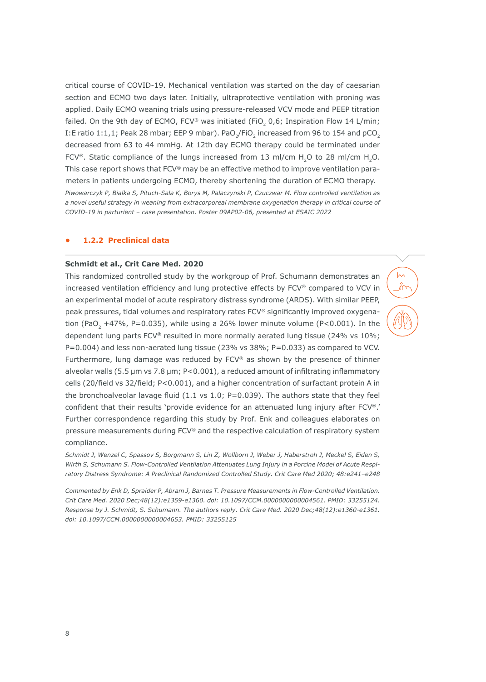critical course of COVID-19. Mechanical ventilation was started on the day of caesarian section and ECMO two days later. Initially, ultraprotective ventilation with proning was applied. Daily ECMO weaning trials using pressure-released VCV mode and PEEP titration failed. On the 9th day of ECMO, FCV® was initiated (FiO<sub>2</sub> 0,6; Inspiration Flow 14 L/min; I:E ratio 1:1,1; Peak 28 mbar; EEP 9 mbar). PaO<sub>2</sub>/FiO<sub>2</sub> increased from 96 to 154 and pCO<sub>2</sub> decreased from 63 to 44 mmHg. At 12th day ECMO therapy could be terminated under FCV®. Static compliance of the lungs increased from 13 ml/cm H<sub>2</sub>O to 28 ml/cm H<sub>2</sub>O. This case report shows that FCV® may be an effective method to improve ventilation parameters in patients undergoing ECMO, thereby shortening the duration of ECMO therapy. *Piwowarczyk P, Bialka S, Pituch-Sala K, Borys M, Palaczynski P, Czuczwar M. Flow controlled ventilation as a novel useful strategy in weaning from extracorporeal membrane oxygenation therapy in critical course of COVID-19 in parturient – case presentation. Poster 09AP02-06, presented at ESAIC 2022*

#### **• 1.2.2 Preclinical data**

# **Schmidt et al., Crit Care Med. 2020**

This randomized controlled study by the workgroup of Prof. Schumann demonstrates an increased ventilation efficiency and lung protective effects by FCV® compared to VCV in an experimental model of acute respiratory distress syndrome (ARDS). With similar PEEP, peak pressures, tidal volumes and respiratory rates FCV® significantly improved oxygenation (PaO<sub>2</sub> +47%, P=0.035), while using a 26% lower minute volume (P<0.001). In the dependent lung parts FCV® resulted in more normally aerated lung tissue (24% vs 10%;  $P=0.004$ ) and less non-aerated lung tissue (23% vs 38%;  $P=0.033$ ) as compared to VCV. Furthermore, lung damage was reduced by FCV® as shown by the presence of thinner alveolar walls (5.5 μm vs 7.8 μm; P<0.001), a reduced amount of infiltrating inflammatory cells (20/field vs 32/field; P<0.001), and a higher concentration of surfactant protein A in the bronchoalveolar lavage fluid  $(1.1 \text{ vs } 1.0; \text{ P} = 0.039)$ . The authors state that they feel confident that their results 'provide evidence for an attenuated lung injury after FCV®.' Further correspondence regarding this study by Prof. Enk and colleagues elaborates on pressure measurements during FCV® and the respective calculation of respiratory system compliance.

 $\sim$ 

*Schmidt J, Wenzel C, Spassov S, Borgmann S, Lin Z, Wollborn J, Weber J, Haberstroh J, Meckel S, Eiden S, Wirth S, Schumann S. Flow-Controlled Ventilation Attenuates Lung Injury in a Porcine Model of Acute Respiratory Distress Syndrome: A Preclinical Randomized Controlled Study. Crit Care Med 2020; 48:e241–e248*

*Commented by Enk D, Spraider P, Abram J, Barnes T. Pressure Measurements in Flow-Controlled Ventilation. Crit Care Med. 2020 Dec;48(12):e1359-e1360. doi: 10.1097/CCM.0000000000004561. PMID: 33255124. Response by J. Schmidt, S. Schumann. The authors reply. Crit Care Med. 2020 Dec;48(12):e1360-e1361. doi: 10.1097/CCM.0000000000004653. PMID: 33255125*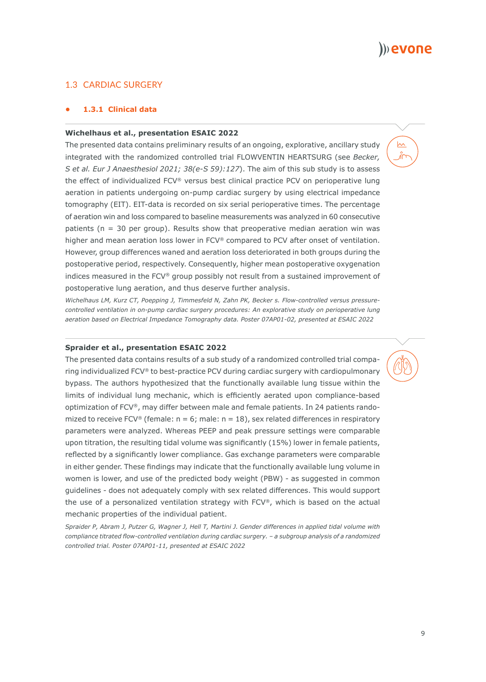

 $\sim$ 

# 1.3 CARDIAC SURGERY

# **• 1.3.1 Clinical data**

### **Wichelhaus et al., presentation ESAIC 2022**

The presented data contains preliminary results of an ongoing, explorative, ancillary study integrated with the randomized controlled trial FLOWVENTIN HEARTSURG (see *Becker, S et al. Eur J Anaesthesiol 2021; 38(e-S 59):127*). The aim of this sub study is to assess the effect of individualized FCV® versus best clinical practice PCV on perioperative lung aeration in patients undergoing on-pump cardiac surgery by using electrical impedance tomography (EIT). EIT-data is recorded on six serial perioperative times. The percentage of aeration win and loss compared to baseline measurements was analyzed in 60 consecutive patients ( $n = 30$  per group). Results show that preoperative median aeration win was higher and mean aeration loss lower in FCV® compared to PCV after onset of ventilation. However, group differences waned and aeration loss deteriorated in both groups during the postoperative period, respectively. Consequently, higher mean postoperative oxygenation indices measured in the FCV® group possibly not result from a sustained improvement of postoperative lung aeration, and thus deserve further analysis.

*Wichelhaus LM, Kurz CT, Poepping J, Timmesfeld N, Zahn PK, Becker s. Flow-controlled versus pressurecontrolled ventilation in on-pump cardiac surgery procedures: An explorative study on perioperative lung aeration based on Electrical Impedance Tomography data. Poster 07AP01-02, presented at ESAIC 2022*

#### **Spraider et al., presentation ESAIC 2022**

The presented data contains results of a sub study of a randomized controlled trial comparing individualized FCV® to best-practice PCV during cardiac surgery with cardiopulmonary bypass. The authors hypothesized that the functionally available lung tissue within the limits of individual lung mechanic, which is efficiently aerated upon compliance-based optimization of FCV®, may differ between male and female patients. In 24 patients randomized to receive FCV® (female:  $n = 6$ ; male:  $n = 18$ ), sex related differences in respiratory parameters were analyzed. Whereas PEEP and peak pressure settings were comparable upon titration, the resulting tidal volume was significantly (15%) lower in female patients, reflected by a significantly lower compliance. Gas exchange parameters were comparable in either gender. These findings may indicate that the functionally available lung volume in women is lower, and use of the predicted body weight (PBW) - as suggested in common guidelines - does not adequately comply with sex related differences. This would support the use of a personalized ventilation strategy with FCV®, which is based on the actual mechanic properties of the individual patient.

*Spraider P, Abram J, Putzer G, Wagner J, Hell T, Martini J. Gender differences in applied tidal volume with compliance titrated flow-controlled ventilation during cardiac surgery. – a subgroup analysis of a randomized controlled trial. Poster 07AP01-11, presented at ESAIC 2022*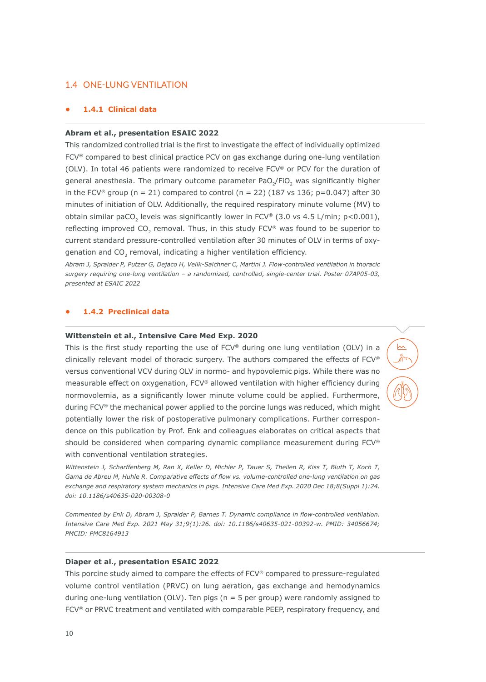# 1.4 ONE-LUNG VENTILATION

# **• 1.4.1 Clinical data**

#### **Abram et al., presentation ESAIC 2022**

This randomized controlled trial is the first to investigate the effect of individually optimized FCV® compared to best clinical practice PCV on gas exchange during one-lung ventilation (OLV). In total 46 patients were randomized to receive FCV® or PCV for the duration of general anesthesia. The primary outcome parameter PaO<sub>2</sub>/FiO<sub>2</sub> was significantly higher in the FCV® group (n = 21) compared to control (n = 22) (187 vs 136; p=0.047) after 30 minutes of initiation of OLV. Additionally, the required respiratory minute volume (MV) to obtain similar paCO<sub>2</sub> levels was significantly lower in FCV® (3.0 vs 4.5 L/min; p<0.001), reflecting improved CO<sub>2</sub> removal. Thus, in this study  $FCV^®$  was found to be superior to current standard pressure-controlled ventilation after 30 minutes of OLV in terms of oxygenation and CO<sub>2</sub> removal, indicating a higher ventilation efficiency.

*Abram J, Spraider P, Putzer G, Dejaco H, Velik-Salchner C, Martini J. Flow-controlled ventilation in thoracic surgery requiring one-lung ventilation – a randomized, controlled, single-center trial. Poster 07AP05-03, presented at ESAIC 2022*

# **• 1.4.2 Preclinical data**

# **Wittenstein et al., Intensive Care Med Exp. 2020**

This is the first study reporting the use of FCV® during one lung ventilation (OLV) in a clinically relevant model of thoracic surgery. The authors compared the effects of FCV® versus conventional VCV during OLV in normo- and hypovolemic pigs. While there was no measurable effect on oxygenation, FCV® allowed ventilation with higher efficiency during normovolemia, as a significantly lower minute volume could be applied. Furthermore, during FCV® the mechanical power applied to the porcine lungs was reduced, which might potentially lower the risk of postoperative pulmonary complications. Further correspondence on this publication by Prof. Enk and colleagues elaborates on critical aspects that should be considered when comparing dynamic compliance measurement during FCV® with conventional ventilation strategies.

 $\sim$ 

*Wittenstein J, Scharffenberg M, Ran X, Keller D, Michler P, Tauer S, Theilen R, Kiss T, Bluth T, Koch T, Gama de Abreu M, Huhle R. Comparative effects of flow vs. volume-controlled one-lung ventilation on gas exchange and respiratory system mechanics in pigs. Intensive Care Med Exp. 2020 Dec 18;8(Suppl 1):24. doi: 10.1186/s40635-020-00308-0*

*Commented by Enk D, Abram J, Spraider P, Barnes T. Dynamic compliance in flow-controlled ventilation. Intensive Care Med Exp. 2021 May 31;9(1):26. doi: 10.1186/s40635-021-00392-w. PMID: 34056674; PMCID: PMC8164913*

### **Diaper et al., presentation ESAIC 2022**

This porcine study aimed to compare the effects of FCV® compared to pressure-regulated volume control ventilation (PRVC) on lung aeration, gas exchange and hemodynamics during one-lung ventilation (OLV). Ten pigs ( $n = 5$  per group) were randomly assigned to FCV<sup>®</sup> or PRVC treatment and ventilated with comparable PEEP, respiratory frequency, and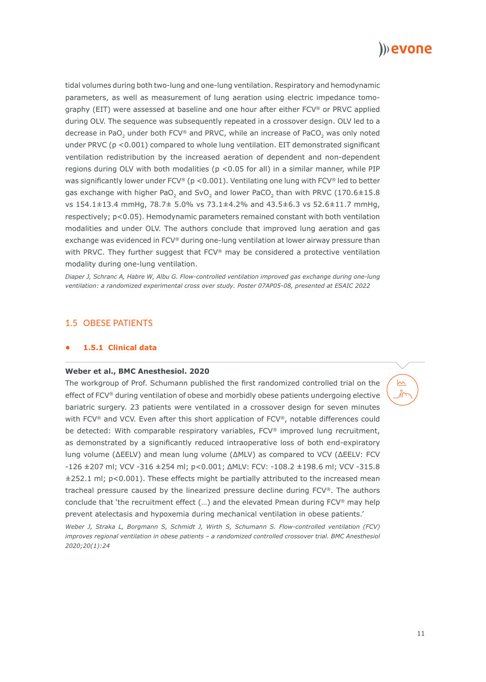

tidal volumes during both two-lung and one-lung ventilation. Respiratory and hemodynamic parameters, as well as measurement of lung aeration using electric impedance tomography (EIT) were assessed at baseline and one hour after either FCV® or PRVC applied during OLV. The sequence was subsequently repeated in a crossover design. OLV led to a decrease in PaO<sub>2</sub> under both FCV® and PRVC, while an increase of PaCO<sub>2</sub> was only noted under PRVC ( $p < 0.001$ ) compared to whole lung ventilation. EIT demonstrated significant ventilation redistribution by the increased aeration of dependent and non-dependent regions during OLV with both modalities ( $p < 0.05$  for all) in a similar manner, while PIP was significantly lower under FCV® ( $p < 0.001$ ). Ventilating one lung with FCV® led to better gas exchange with higher PaO<sub>2</sub> and SvO<sub>2</sub> and lower PaCO<sub>2</sub> than with PRVC (170.6 $\pm$ 15.8 vs 154.1±13.4 mmHg, 78.7± 5.0% vs 73.1±4.2% and 43.5±6.3 vs 52.6±11.7 mmHg, respectively; p<0.05). Hemodynamic parameters remained constant with both ventilation modalities and under OLV. The authors conclude that improved lung aeration and gas exchange was evidenced in FCV® during one-lung ventilation at lower airway pressure than with PRVC. They further suggest that FCV® may be considered a protective ventilation modality during one-lung ventilation.

*Diaper J, Schranc A, Habre W, Albu G. Flow-controlled ventilation improved gas exchange during one-lung ventilation: a randomized experimental cross over study. Poster 07AP05-08, presented at ESAIC 2022*

# 1.5 OBESE PATIENTS

# **• 1.5.1 Clinical data**

#### **Weber et al., BMC Anesthesiol. 2020**

The workgroup of Prof. Schumann published the first randomized controlled trial on the effect of FCV® during ventilation of obese and morbidly obese patients undergoing elective bariatric surgery. 23 patients were ventilated in a crossover design for seven minutes with FCV® and VCV. Even after this short application of FCV®, notable differences could be detected: With comparable respiratory variables, FCV® improved lung recruitment, as demonstrated by a significantly reduced intraoperative loss of both end-expiratory lung volume (ΔEELV) and mean lung volume (ΔMLV) as compared to VCV (ΔEELV: FCV -126 ±207 ml; VCV -316 ±254 ml; p<0.001; ΔMLV: FCV: -108.2 ±198.6 ml; VCV -315.8  $\pm$ 252.1 ml; p<0.001). These effects might be partially attributed to the increased mean tracheal pressure caused by the linearized pressure decline during FCV®. The authors conclude that 'the recruitment effect (…) and the elevated Pmean during FCV® may help prevent atelectasis and hypoxemia during mechanical ventilation in obese patients.'

*Weber J, Straka L, Borgmann S, Schmidt J, Wirth S, Schumann S. Flow-controlled ventilation (FCV) improves regional ventilation in obese patients – a randomized controlled crossover trial. BMC Anesthesiol 2020;20(1):24*

 $\sim$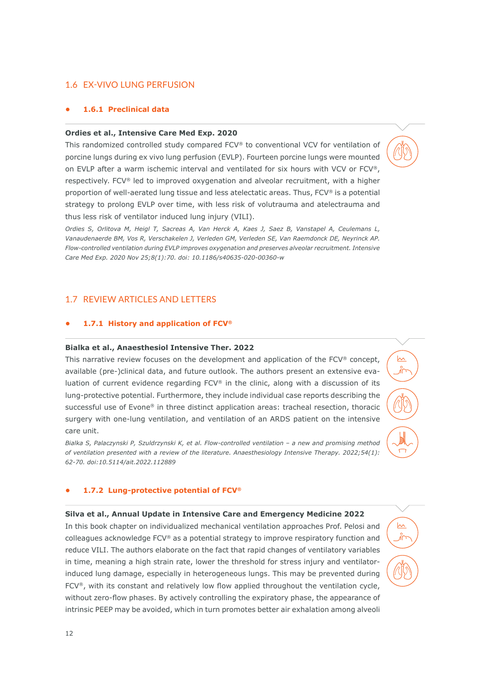# 1.6 EX-VIVO LUNG PERFUSION

# **• 1.6.1 Preclinical data**

# **Ordies et al., Intensive Care Med Exp. 2020**

This randomized controlled study compared FCV® to conventional VCV for ventilation of porcine lungs during ex vivo lung perfusion (EVLP). Fourteen porcine lungs were mounted on EVLP after a warm ischemic interval and ventilated for six hours with VCV or FCV®, respectively. FCV® led to improved oxygenation and alveolar recruitment, with a higher proportion of well-aerated lung tissue and less atelectatic areas. Thus, FCV® is a potential strategy to prolong EVLP over time, with less risk of volutrauma and atelectrauma and thus less risk of ventilator induced lung injury (VILI).

*Ordies S, Orlitova M, Heigl T, Sacreas A, Van Herck A, Kaes J, Saez B, Vanstapel A, Ceulemans L, Vanaudenaerde BM, Vos R, Verschakelen J, Verleden GM, Verleden SE, Van Raemdonck DE, Neyrinck AP. Flow-controlled ventilation during EVLP improves oxygenation and preserves alveolar recruitment. Intensive Care Med Exp. 2020 Nov 25;8(1):70. doi: 10.1186/s40635-020-00360-w*

# 1.7 REVIEW ARTICLES AND LETTERS

# **• 1.7.1 History and application of FCV®**

#### **Bialka et al., Anaesthesiol Intensive Ther. 2022**

This narrative review focuses on the development and application of the FCV® concept, available (pre-)clinical data, and future outlook. The authors present an extensive evaluation of current evidence regarding FCV® in the clinic, along with a discussion of its lung-protective potential. Furthermore, they include individual case reports describing the successful use of Evone® in three distinct application areas: tracheal resection, thoracic surgery with one-lung ventilation, and ventilation of an ARDS patient on the intensive care unit.

 $\sim$ 

 $\sim$ 

*Bialka S, Palaczynski P, Szuldrzynski K, et al. Flow-controlled ventilation – a new and promising method of ventilation presented with a review of the literature. Anaesthesiology Intensive Therapy. 2022;54(1): 62-70. doi:10.5114/ait.2022.112889*

# **• 1.7.2 Lung-protective potential of FCV®**

#### **Silva et al., Annual Update in Intensive Care and Emergency Medicine 2022**

In this book chapter on individualized mechanical ventilation approaches Prof. Pelosi and colleagues acknowledge FCV® as a potential strategy to improve respiratory function and reduce VILI. The authors elaborate on the fact that rapid changes of ventilatory variables in time, meaning a high strain rate, lower the threshold for stress injury and ventilatorinduced lung damage, especially in heterogeneous lungs. This may be prevented during FCV®, with its constant and relatively low flow applied throughout the ventilation cycle, without zero-flow phases. By actively controlling the expiratory phase, the appearance of intrinsic PEEP may be avoided, which in turn promotes better air exhalation among alveoli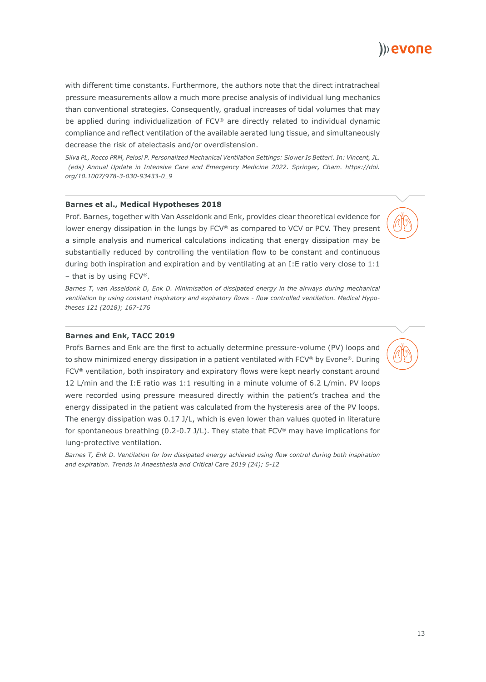with different time constants. Furthermore, the authors note that the direct intratracheal pressure measurements allow a much more precise analysis of individual lung mechanics than conventional strategies. Consequently, gradual increases of tidal volumes that may be applied during individualization of FCV® are directly related to individual dynamic compliance and reflect ventilation of the available aerated lung tissue, and simultaneously decrease the risk of atelectasis and/or overdistension.

*Silva PL, Rocco PRM, Pelosi P. Personalized Mechanical Ventilation Settings: Slower Is Better!. In: Vincent, JL. (eds) Annual Update in Intensive Care and Emergency Medicine 2022. Springer, Cham. https://doi. org/10.1007/978-3-030-93433-0\_9*

#### **Barnes et al., Medical Hypotheses 2018**

Prof. Barnes, together with Van Asseldonk and Enk, provides clear theoretical evidence for lower energy dissipation in the lungs by FCV® as compared to VCV or PCV. They present a simple analysis and numerical calculations indicating that energy dissipation may be substantially reduced by controlling the ventilation flow to be constant and continuous during both inspiration and expiration and by ventilating at an I: E ratio very close to  $1:1$  $-$  that is by using FCV®.

*Barnes T, van Asseldonk D, Enk D. Minimisation of dissipated energy in the airways during mechanical ventilation by using constant inspiratory and expiratory flows - flow controlled ventilation. Medical Hypotheses 121 (2018); 167-176*

# **Barnes and Enk, TACC 2019**

Profs Barnes and Enk are the first to actually determine pressure-volume (PV) loops and to show minimized energy dissipation in a patient ventilated with FCV® by Evone®. During FCV® ventilation, both inspiratory and expiratory flows were kept nearly constant around 12 L/min and the I:E ratio was 1:1 resulting in a minute volume of 6.2 L/min. PV loops were recorded using pressure measured directly within the patient's trachea and the energy dissipated in the patient was calculated from the hysteresis area of the PV loops. The energy dissipation was 0.17 J/L, which is even lower than values quoted in literature for spontaneous breathing (0.2-0.7 J/L). They state that  $FCV^{\otimes}$  may have implications for lung-protective ventilation.

*Barnes T, Enk D. Ventilation for low dissipated energy achieved using flow control during both inspiration and expiration. Trends in Anaesthesia and Critical Care 2019 (24); 5-12*

I)) evone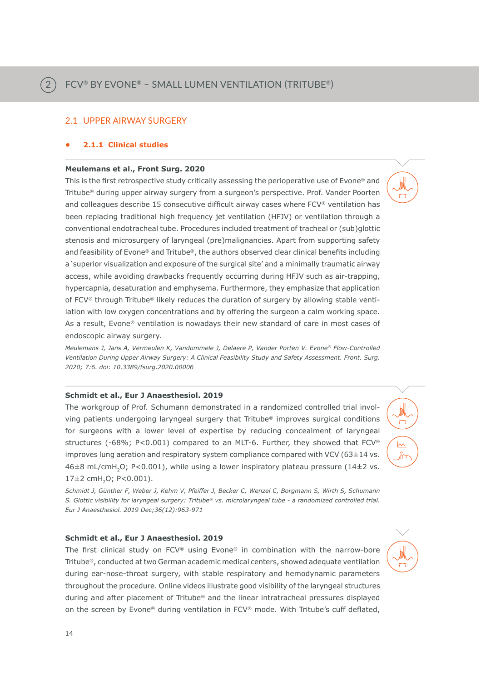# 2.1 UPPER AIRWAY SURGERY

# **• 2.1.1 Clinical studies**

2

# **Meulemans et al., Front Surg. 2020**

This is the first retrospective study critically assessing the perioperative use of Evone® and Tritube® during upper airway surgery from a surgeon's perspective. Prof. Vander Poorten and colleagues describe 15 consecutive difficult airway cases where FCV® ventilation has been replacing traditional high frequency jet ventilation (HFJV) or ventilation through a conventional endotracheal tube. Procedures included treatment of tracheal or (sub)glottic stenosis and microsurgery of laryngeal (pre)malignancies. Apart from supporting safety and feasibility of Evone® and Tritube®, the authors observed clear clinical benefits including a 'superior visualization and exposure of the surgical site' and a minimally traumatic airway access, while avoiding drawbacks frequently occurring during HFJV such as air-trapping, hypercapnia, desaturation and emphysema. Furthermore, they emphasize that application of FCV® through Tritube® likely reduces the duration of surgery by allowing stable ventilation with low oxygen concentrations and by offering the surgeon a calm working space. As a result, Evone® ventilation is nowadays their new standard of care in most cases of endoscopic airway surgery.

*Meulemans J, Jans A, Vermeulen K, Vandommele J, Delaere P, Vander Porten V. Evone® Flow-Controlled Ventilation During Upper Airway Surgery: A Clinical Feasibility Study and Safety Assessment. Front. Surg. 2020; 7:6. doi: 10.3389/fsurg.2020.00006*

# **Schmidt et al., Eur J Anaesthesiol. 2019**

The workgroup of Prof. Schumann demonstrated in a randomized controlled trial involving patients undergoing laryngeal surgery that Tritube® improves surgical conditions for surgeons with a lower level of expertise by reducing concealment of laryngeal structures (-68%; P<0.001) compared to an MLT-6. Further, they showed that FCV® improves lung aeration and respiratory system compliance compared with VCV (63±14 vs.  $46±8$  mL/cmH<sub>2</sub>O; P<0.001), while using a lower inspiratory plateau pressure (14±2 vs.  $17\pm2$  cmH<sub>2</sub>O; P<0.001).

 $\sim$ 

*Schmidt J, Günther F, Weber J, Kehm V, Pfeiffer J, Becker C, Wenzel C, Borgmann S, Wirth S, Schumann S. Glottic visibility for laryngeal surgery: Tritube® vs. microlaryngeal tube - a randomized controlled trial. Eur J Anaesthesiol. 2019 Dec;36(12):963-971*

# **Schmidt et al., Eur J Anaesthesiol. 2019**

The first clinical study on FCV® using Evone® in combination with the narrow-bore Tritube®, conducted at two German academic medical centers, showed adequate ventilation during ear-nose-throat surgery, with stable respiratory and hemodynamic parameters throughout the procedure. Online videos illustrate good visibility of the laryngeal structures during and after placement of Tritube® and the linear intratracheal pressures displayed on the screen by Evone® during ventilation in FCV® mode. With Tritube's cuff deflated,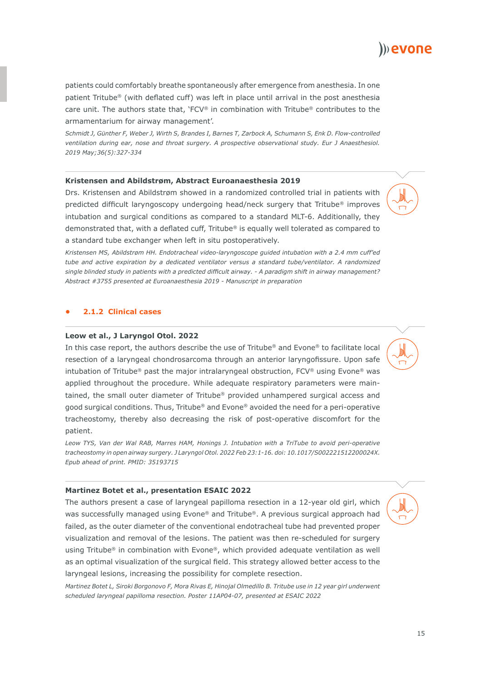patients could comfortably breathe spontaneously after emergence from anesthesia. In one patient Tritube® (with deflated cuff) was left in place until arrival in the post anesthesia care unit. The authors state that, 'FCV® in combination with Tritube® contributes to the armamentarium for airway management'.

*Schmidt J, Günther F, Weber J, Wirth S, Brandes I, Barnes T, Zarbock A, Schumann S, Enk D. Flow-controlled ventilation during ear, nose and throat surgery. A prospective observational study. Eur J Anaesthesiol. 2019 May;36(5):327-334*

### **Kristensen and Abildstrøm, Abstract Euroanaesthesia 2019**

Drs. Kristensen and Abildstrøm showed in a randomized controlled trial in patients with predicted difficult laryngoscopy undergoing head/neck surgery that Tritube® improves intubation and surgical conditions as compared to a standard MLT-6. Additionally, they demonstrated that, with a deflated cuff, Tritube<sup>®</sup> is equally well tolerated as compared to a standard tube exchanger when left in situ postoperatively.

*Kristensen MS, Abildstrøm HH. Endotracheal video-laryngoscope guided intubation with a 2.4 mm cuff'ed tube and active expiration by a dedicated ventilator versus a standard tube/ventilator. A randomized single blinded study in patients with a predicted difficult airway. - A paradigm shift in airway management? Abstract #3755 presented at Euroanaesthesia 2019 - Manuscript in preparation*

# **• 2.1.2 Clinical cases**

# **Leow et al., J Laryngol Otol. 2022**

In this case report, the authors describe the use of Tritube® and Evone® to facilitate local resection of a laryngeal chondrosarcoma through an anterior laryngofissure. Upon safe intubation of Tritube® past the major intralaryngeal obstruction, FCV® using Evone® was applied throughout the procedure. While adequate respiratory parameters were maintained, the small outer diameter of Tritube® provided unhampered surgical access and good surgical conditions. Thus, Tritube® and Evone® avoided the need for a peri-operative tracheostomy, thereby also decreasing the risk of post-operative discomfort for the patient.

*Leow TYS, Van der Wal RAB, Marres HAM, Honings J. Intubation with a TriTube to avoid peri-operative tracheostomy in open airway surgery. J Laryngol Otol. 2022 Feb 23:1-16. doi: 10.1017/S002221512200024X. Epub ahead of print. PMID: 35193715*

#### **Martinez Botet et al., presentation ESAIC 2022**

The authors present a case of laryngeal papilloma resection in a 12-year old girl, which was successfully managed using Evone® and Tritube®. A previous surgical approach had failed, as the outer diameter of the conventional endotracheal tube had prevented proper visualization and removal of the lesions. The patient was then re-scheduled for surgery using Tritube® in combination with Evone®, which provided adequate ventilation as well as an optimal visualization of the surgical field. This strategy allowed better access to the laryngeal lesions, increasing the possibility for complete resection.

*Martinez Botet L, Siroki Borgonovo F, Mora Rivas E, Hinojal Olmedillo B. Tritube use in 12 year girl underwent scheduled laryngeal papilloma resection. Poster 11AP04-07, presented at ESAIC 2022*

)) evone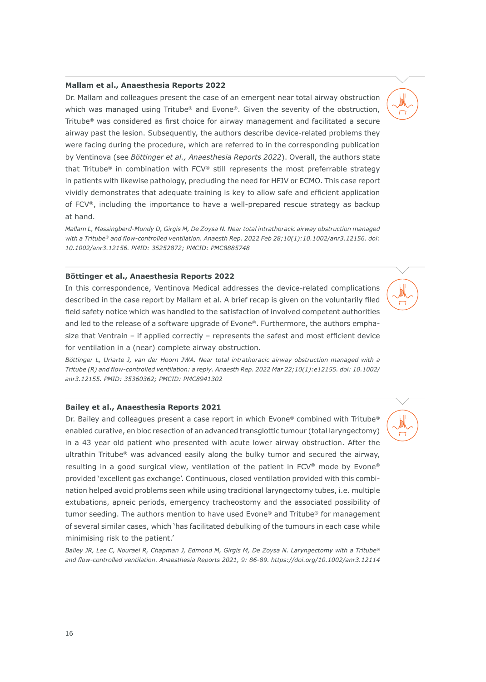# **Mallam et al., Anaesthesia Reports 2022**

Dr. Mallam and colleagues present the case of an emergent near total airway obstruction which was managed using Tritube® and Evone®. Given the severity of the obstruction, Tritube® was considered as first choice for airway management and facilitated a secure airway past the lesion. Subsequently, the authors describe device-related problems they were facing during the procedure, which are referred to in the corresponding publication by Ventinova (see *Böttinger et al., Anaesthesia Reports 2022*). Overall, the authors state that Tritube® in combination with FCV® still represents the most preferrable strategy in patients with likewise pathology, precluding the need for HFJV or ECMO. This case report vividly demonstrates that adequate training is key to allow safe and efficient application of FCV®, including the importance to have a well-prepared rescue strategy as backup at hand.

*Mallam L, Massingberd-Mundy D, Girgis M, De Zoysa N. Near total intrathoracic airway obstruction managed with a Tritube® and flow-controlled ventilation. Anaesth Rep. 2022 Feb 28;10(1):10.1002/anr3.12156. doi: 10.1002/anr3.12156. PMID: 35252872; PMCID: PMC8885748*

### **Böttinger et al., Anaesthesia Reports 2022**

In this correspondence, Ventinova Medical addresses the device-related complications described in the case report by Mallam et al. A brief recap is given on the voluntarily filed field safety notice which was handled to the satisfaction of involved competent authorities and led to the release of a software upgrade of Evone®. Furthermore, the authors emphasize that Ventrain – if applied correctly – represents the safest and most efficient device for ventilation in a (near) complete airway obstruction.

*Böttinger L, Uriarte J, van der Hoorn JWA. Near total intrathoracic airway obstruction managed with a Tritube (R) and flow-controlled ventilation: a reply. Anaesth Rep. 2022 Mar 22;10(1):e12155. doi: 10.1002/ anr3.12155. PMID: 35360362; PMCID: PMC8941302*

#### **Bailey et al., Anaesthesia Reports 2021**

Dr. Bailey and colleagues present a case report in which Evone® combined with Tritube® enabled curative, en bloc resection of an advanced transglottic tumour (total laryngectomy) in a 43 year old patient who presented with acute lower airway obstruction. After the ultrathin Tritube® was advanced easily along the bulky tumor and secured the airway, resulting in a good surgical view, ventilation of the patient in FCV® mode by Evone® provided 'excellent gas exchange'. Continuous, closed ventilation provided with this combination helped avoid problems seen while using traditional laryngectomy tubes, i.e. multiple extubations, apneic periods, emergency tracheostomy and the associated possibility of tumor seeding. The authors mention to have used Evone® and Tritube® for management of several similar cases, which 'has facilitated debulking of the tumours in each case while minimising risk to the patient.'

*Bailey JR, Lee C, Nouraei R, Chapman J, Edmond M, Girgis M, De Zoysa N. Laryngectomy with a Tritube® and flow-controlled ventilation. Anaesthesia Reports 2021, 9: 86-89. https://doi.org/10.1002/anr3.12114*

16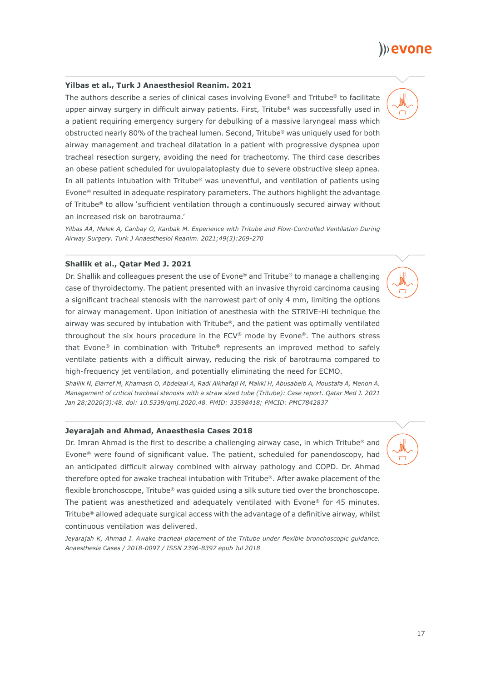# **Yilbas et al., Turk J Anaesthesiol Reanim. 2021**

The authors describe a series of clinical cases involving Evone® and Tritube® to facilitate upper airway surgery in difficult airway patients. First, Tritube® was successfully used in a patient requiring emergency surgery for debulking of a massive laryngeal mass which obstructed nearly 80% of the tracheal lumen. Second, Tritube® was uniquely used for both airway management and tracheal dilatation in a patient with progressive dyspnea upon tracheal resection surgery, avoiding the need for tracheotomy. The third case describes an obese patient scheduled for uvulopalatoplasty due to severe obstructive sleep apnea. In all patients intubation with Tritube® was uneventful, and ventilation of patients using Evone® resulted in adequate respiratory parameters. The authors highlight the advantage of Tritube® to allow 'sufficient ventilation through a continuously secured airway without an increased risk on barotrauma.'

*Yilbas AA, Melek A, Canbay O, Kanbak M. Experience with Tritube and Flow-Controlled Ventilation During Airway Surgery. Turk J Anaesthesiol Reanim. 2021;49(3):269-270*

# **Shallik et al., Qatar Med J. 2021**

Dr. Shallik and colleagues present the use of Evone® and Tritube® to manage a challenging case of thyroidectomy. The patient presented with an invasive thyroid carcinoma causing a significant tracheal stenosis with the narrowest part of only 4 mm, limiting the options for airway management. Upon initiation of anesthesia with the STRIVE-Hi technique the airway was secured by intubation with Tritube®, and the patient was optimally ventilated throughout the six hours procedure in the FCV® mode by Evone®. The authors stress that Evone® in combination with Tritube® represents an improved method to safely ventilate patients with a difficult airway, reducing the risk of barotrauma compared to high-frequency jet ventilation, and potentially eliminating the need for ECMO.

*Shallik N, Elarref M, Khamash O, Abdelaal A, Radi Alkhafaji M, Makki H, Abusabeib A, Moustafa A, Menon A. Management of critical tracheal stenosis with a straw sized tube (Tritube): Case report. Qatar Med J. 2021 Jan 28;2020(3):48. doi: 10.5339/qmj.2020.48. PMID: 33598418; PMCID: PMC7842837*

# **Jeyarajah and Ahmad, Anaesthesia Cases 2018**

Dr. Imran Ahmad is the first to describe a challenging airway case, in which Tritube<sup>®</sup> and Evone® were found of significant value. The patient, scheduled for panendoscopy, had an anticipated difficult airway combined with airway pathology and COPD. Dr. Ahmad therefore opted for awake tracheal intubation with Tritube®. After awake placement of the flexible bronchoscope, Tritube® was guided using a silk suture tied over the bronchoscope. The patient was anesthetized and adequately ventilated with Evone® for 45 minutes. Tritube® allowed adequate surgical access with the advantage of a definitive airway, whilst continuous ventilation was delivered.

*Jeyarajah K, Ahmad I. Awake tracheal placement of the Tritube under flexible bronchoscopic guidance. Anaesthesia Cases / 2018-0097 / ISSN 2396-8397 epub Jul 2018*



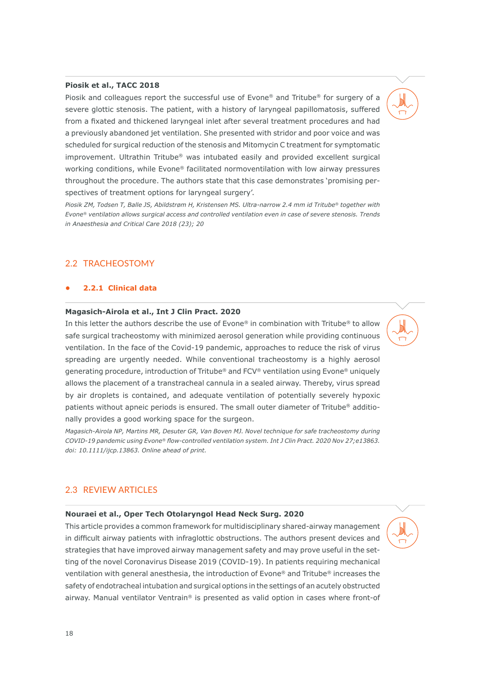# **Piosik et al., TACC 2018**

Piosik and colleagues report the successful use of Evone® and Tritube® for surgery of a severe glottic stenosis. The patient, with a history of laryngeal papillomatosis, suffered from a fixated and thickened laryngeal inlet after several treatment procedures and had a previously abandoned jet ventilation. She presented with stridor and poor voice and was scheduled for surgical reduction of the stenosis and Mitomycin C treatment for symptomatic improvement. Ultrathin Tritube® was intubated easily and provided excellent surgical working conditions, while Evone® facilitated normoventilation with low airway pressures throughout the procedure. The authors state that this case demonstrates 'promising perspectives of treatment options for laryngeal surgery'.

*Piosik ZM, Todsen T, Balle JS, Abildstrøm H, Kristensen MS. Ultra-narrow 2.4 mm id Tritube® together with Evone® ventilation allows surgical access and controlled ventilation even in case of severe stenosis. Trends in Anaesthesia and Critical Care 2018 (23); 20*

# 2.2 TRACHEOSTOMY

# **• 2.2.1 Clinical data**

# **Magasich-Airola et al., Int J Clin Pract. 2020**

In this letter the authors describe the use of Evone® in combination with Tritube® to allow safe surgical tracheostomy with minimized aerosol generation while providing continuous ventilation. In the face of the Covid-19 pandemic, approaches to reduce the risk of virus spreading are urgently needed. While conventional tracheostomy is a highly aerosol generating procedure, introduction of Tritube® and FCV® ventilation using Evone® uniquely allows the placement of a transtracheal cannula in a sealed airway. Thereby, virus spread by air droplets is contained, and adequate ventilation of potentially severely hypoxic patients without apneic periods is ensured. The small outer diameter of Tritube® additionally provides a good working space for the surgeon.

*Magasich-Airola NP, Martins MR, Desuter GR, Van Boven MJ. Novel technique for safe tracheostomy during COVID-19 pandemic using Evone® flow-controlled ventilation system. Int J Clin Pract. 2020 Nov 27;e13863. doi: 10.1111/ijcp.13863. Online ahead of print.*

# 2.3 REVIEW ARTICLES

### **Nouraei et al., Oper Tech Otolaryngol Head Neck Surg. 2020**

This article provides a common framework for multidisciplinary shared-airway management in difficult airway patients with infraglottic obstructions. The authors present devices and strategies that have improved airway management safety and may prove useful in the setting of the novel Coronavirus Disease 2019 (COVID-19). In patients requiring mechanical ventilation with general anesthesia, the introduction of Evone® and Tritube® increases the safety of endotracheal intubation and surgical options in the settings of an acutely obstructed airway. Manual ventilator Ventrain® is presented as valid option in cases where front-of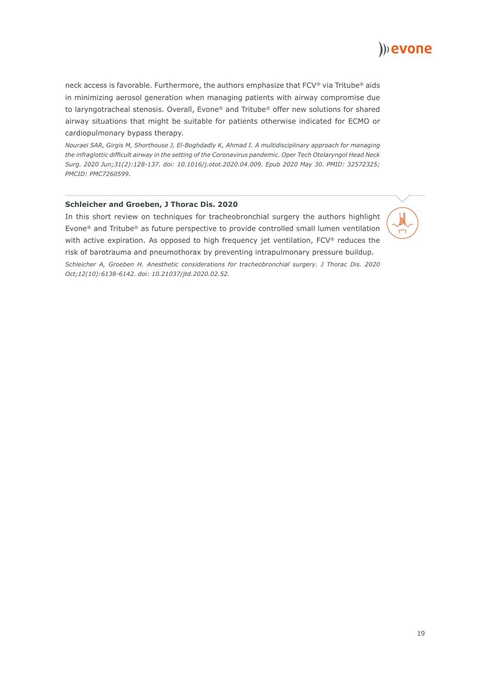

neck access is favorable. Furthermore, the authors emphasize that FCV® via Tritube® aids in minimizing aerosol generation when managing patients with airway compromise due to laryngotracheal stenosis. Overall, Evone® and Tritube® offer new solutions for shared airway situations that might be suitable for patients otherwise indicated for ECMO or cardiopulmonary bypass therapy.

*Nouraei SAR, Girgis M, Shorthouse J, El-Boghdadly K, Ahmad I. A multidisciplinary approach for managing the infraglottic difficult airway in the setting of the Coronavirus pandemic. Oper Tech Otolaryngol Head Neck Surg. 2020 Jun;31(2):128-137. doi: 10.1016/j.otot.2020.04.009. Epub 2020 May 30. PMID: 32572325; PMCID: PMC7260599.*

# **Schleicher and Groeben, J Thorac Dis. 2020**

In this short review on techniques for tracheobronchial surgery the authors highlight Evone® and Tritube® as future perspective to provide controlled small lumen ventilation with active expiration. As opposed to high frequency jet ventilation, FCV® reduces the risk of barotrauma and pneumothorax by preventing intrapulmonary pressure buildup. *Schleicher A, Groeben H. Anesthetic considerations for tracheobronchial surgery. J Thorac Dis. 2020 Oct;12(10):6138-6142. doi: 10.21037/jtd.2020.02.52.*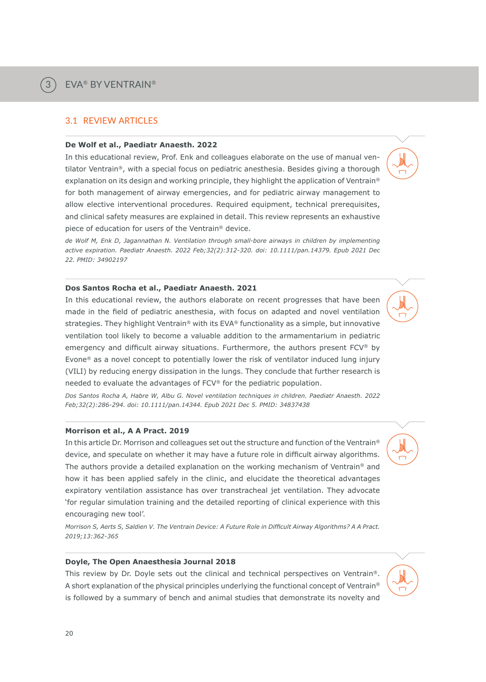3

# 3.1 REVIEW ARTICLES

### **De Wolf et al., Paediatr Anaesth. 2022**

In this educational review, Prof. Enk and colleagues elaborate on the use of manual ventilator Ventrain®, with a special focus on pediatric anesthesia. Besides giving a thorough explanation on its design and working principle, they highlight the application of Ventrain® for both management of airway emergencies, and for pediatric airway management to allow elective interventional procedures. Required equipment, technical prerequisites, and clinical safety measures are explained in detail. This review represents an exhaustive piece of education for users of the Ventrain® device.

*de Wolf M, Enk D, Jagannathan N. Ventilation through small-bore airways in children by implementing active expiration. Paediatr Anaesth. 2022 Feb;32(2):312-320. doi: 10.1111/pan.14379. Epub 2021 Dec 22. PMID: 34902197*

#### **Dos Santos Rocha et al., Paediatr Anaesth. 2021**

In this educational review, the authors elaborate on recent progresses that have been made in the field of pediatric anesthesia, with focus on adapted and novel ventilation strategies. They highlight Ventrain® with its EVA® functionality as a simple, but innovative ventilation tool likely to become a valuable addition to the armamentarium in pediatric emergency and difficult airway situations. Furthermore, the authors present FCV® by Evone® as a novel concept to potentially lower the risk of ventilator induced lung injury (VILI) by reducing energy dissipation in the lungs. They conclude that further research is needed to evaluate the advantages of FCV® for the pediatric population.

*Dos Santos Rocha A, Habre W, Albu G. Novel ventilation techniques in children. Paediatr Anaesth. 2022 Feb;32(2):286-294. doi: 10.1111/pan.14344. Epub 2021 Dec 5. PMID: 34837438*

# **Morrison et al., A A Pract. 2019**

In this article Dr. Morrison and colleagues set out the structure and function of the Ventrain® device, and speculate on whether it may have a future role in difficult airway algorithms. The authors provide a detailed explanation on the working mechanism of Ventrain® and how it has been applied safely in the clinic, and elucidate the theoretical advantages expiratory ventilation assistance has over transtracheal jet ventilation. They advocate 'for regular simulation training and the detailed reporting of clinical experience with this encouraging new tool'.

*Morrison S, Aerts S, Saldien V. The Ventrain Device: A Future Role in Difficult Airway Algorithms? A A Pract. 2019;13:362-365*

# **Doyle, The Open Anaesthesia Journal 2018**

This review by Dr. Doyle sets out the clinical and technical perspectives on Ventrain®. A short explanation of the physical principles underlying the functional concept of Ventrain® is followed by a summary of bench and animal studies that demonstrate its novelty and

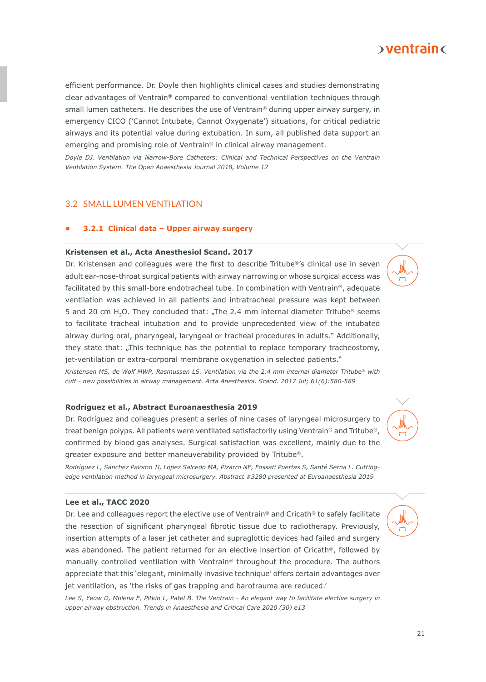

efficient performance. Dr. Doyle then highlights clinical cases and studies demonstrating clear advantages of Ventrain® compared to conventional ventilation techniques through small lumen catheters. He describes the use of Ventrain® during upper airway surgery, in emergency CICO ('Cannot Intubate, Cannot Oxygenate') situations, for critical pediatric airways and its potential value during extubation. In sum, all published data support an emerging and promising role of Ventrain® in clinical airway management.

*Doyle DJ. Ventilation via Narrow-Bore Catheters: Clinical and Technical Perspectives on the Ventrain Ventilation System. The Open Anaesthesia Journal 2018, Volume 12*

# 3.2 SMALL LUMEN VENTILATION

# **• 3.2.1 Clinical data – Upper airway surgery**

#### **Kristensen et al., Acta Anesthesiol Scand. 2017**

Dr. Kristensen and colleagues were the first to describe Tritube®'s clinical use in seven adult ear-nose-throat surgical patients with airway narrowing or whose surgical access was facilitated by this small-bore endotracheal tube. In combination with Ventrain®, adequate ventilation was achieved in all patients and intratracheal pressure was kept between 5 and 20 cm H<sub>2</sub>O. They concluded that: "The 2.4 mm internal diameter Tritube® seems to facilitate tracheal intubation and to provide unprecedented view of the intubated airway during oral, pharyngeal, laryngeal or tracheal procedures in adults." Additionally, they state that: "This technique has the potential to replace temporary tracheostomy, jet-ventilation or extra-corporal membrane oxygenation in selected patients."

*Kristensen MS, de Wolf MWP, Rasmussen LS. Ventilation via the 2.4 mm internal diameter Tritube® with cuff - new possibilities in airway management. Acta Anesthesiol. Scand. 2017 Jul; 61(6):580-589*

### **Rodríguez et al., Abstract Euroanaesthesia 2019**

Dr. Rodríguez and colleagues present a series of nine cases of laryngeal microsurgery to treat benign polyps. All patients were ventilated satisfactorily using Ventrain® and Tritube®, confirmed by blood gas analyses. Surgical satisfaction was excellent, mainly due to the greater exposure and better maneuverability provided by Tritube®.

*Rodríguez L, Sanchez Palomo JJ, Lopez Salcedo MA, Pizarro NE, Fossati Puertas S, Santé Serna L. Cuttingedge ventilation method in laryngeal microsurgery. Abstract #3280 presented at Euroanaesthesia 2019*

# **Lee et al., TACC 2020**

Dr. Lee and colleagues report the elective use of Ventrain<sup>®</sup> and Cricath<sup>®</sup> to safely facilitate the resection of significant pharyngeal fibrotic tissue due to radiotherapy. Previously, insertion attempts of a laser jet catheter and supraglottic devices had failed and surgery was abandoned. The patient returned for an elective insertion of Cricath®, followed by manually controlled ventilation with Ventrain® throughout the procedure. The authors appreciate that this 'elegant, minimally invasive technique' offers certain advantages over jet ventilation, as 'the risks of gas trapping and barotrauma are reduced.'

*Lee S, Yeow D, Molena E, Pitkin L, Patel B. The Ventrain - An elegant way to facilitate elective surgery in upper airway obstruction. Trends in Anaesthesia and Critical Care 2020 (30) e13*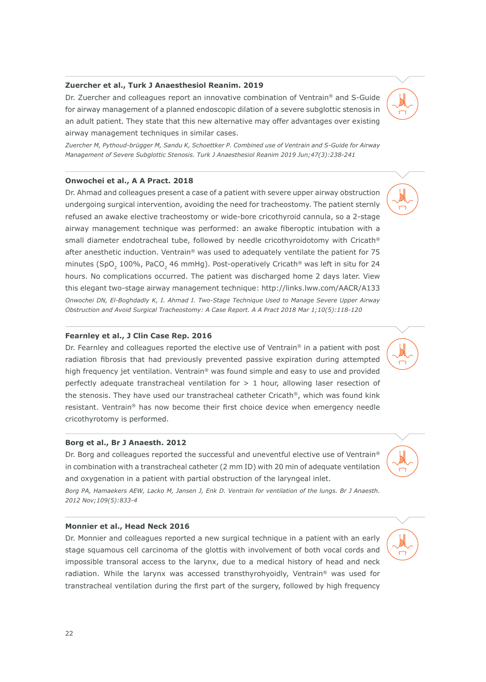# **Zuercher et al., Turk J Anaesthesiol Reanim. 2019**

Dr. Zuercher and colleagues report an innovative combination of Ventrain® and S-Guide for airway management of a planned endoscopic dilation of a severe subglottic stenosis in an adult patient. They state that this new alternative may offer advantages over existing airway management techniques in similar cases.

*Zuercher M, Pythoud-brügger M, Sandu K, Schoettker P. Combined use of Ventrain and S-Guide for Airway Management of Severe Subglottic Stenosis. Turk J Anaesthesiol Reanim 2019 Jun;47(3):238-241*

# **Onwochei et al., A A Pract. 2018**

Dr. Ahmad and colleagues present a case of a patient with severe upper airway obstruction undergoing surgical intervention, avoiding the need for tracheostomy. The patient sternly refused an awake elective tracheostomy or wide-bore cricothyroid cannula, so a 2-stage airway management technique was performed: an awake fiberoptic intubation with a small diameter endotracheal tube, followed by needle cricothyroidotomy with Cricath® after anesthetic induction. Ventrain® was used to adequately ventilate the patient for 75 minutes (SpO<sub>2</sub> 100%, PaCO<sub>2</sub> 46 mmHg). Post-operatively Cricath<sup>®</sup> was left in situ for 24 hours. No complications occurred. The patient was discharged home 2 days later. View this elegant two-stage airway management technique: http://links.lww.com/AACR/A133 *Onwochei DN, El-Boghdadly K, I. Ahmad I. Two-Stage Technique Used to Manage Severe Upper Airway Obstruction and Avoid Surgical Tracheostomy: A Case Report. A A Pract 2018 Mar 1;10(5):118-120*

# **Fearnley et al., J Clin Case Rep. 2016**

Dr. Fearnley and colleagues reported the elective use of Ventrain<sup>®</sup> in a patient with post radiation fibrosis that had previously prevented passive expiration during attempted high frequency jet ventilation. Ventrain® was found simple and easy to use and provided perfectly adequate transtracheal ventilation for  $> 1$  hour, allowing laser resection of the stenosis. They have used our transtracheal catheter Cricath®, which was found kink resistant. Ventrain® has now become their first choice device when emergency needle cricothyrotomy is performed.

# **Borg et al., Br J Anaesth. 2012**

Dr. Borg and colleagues reported the successful and uneventful elective use of Ventrain<sup>®</sup> in combination with a transtracheal catheter (2 mm ID) with 20 min of adequate ventilation and oxygenation in a patient with partial obstruction of the laryngeal inlet.

*Borg PA, Hamaekers AEW, Lacko M, Jansen J, Enk D. Ventrain for ventilation of the lungs. Br J Anaesth. 2012 Nov;109(5):833-4*

#### **Monnier et al., Head Neck 2016**

Dr. Monnier and colleagues reported a new surgical technique in a patient with an early stage squamous cell carcinoma of the glottis with involvement of both vocal cords and impossible transoral access to the larynx, due to a medical history of head and neck radiation. While the larynx was accessed transthyrohyoidly, Ventrain® was used for transtracheal ventilation during the first part of the surgery, followed by high frequency





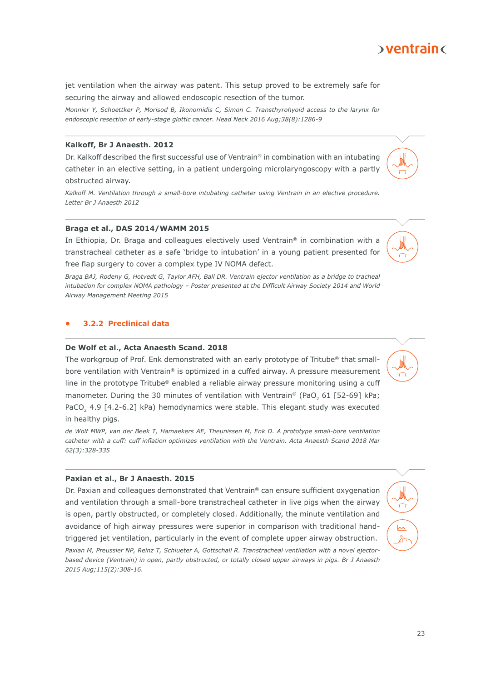# $\delta$  ventrain  $\delta$

jet ventilation when the airway was patent. This setup proved to be extremely safe for securing the airway and allowed endoscopic resection of the tumor.

*Monnier Y, Schoettker P, Morisod B, Ikonomidis C, Simon C. Transthyrohyoid access to the larynx for endoscopic resection of early-stage glottic cancer. Head Neck 2016 Aug;38(8):1286-9*

# **Kalkoff, Br J Anaesth. 2012**

Dr. Kalkoff described the first successful use of Ventrain® in combination with an intubating catheter in an elective setting, in a patient undergoing microlaryngoscopy with a partly obstructed airway.

*Kalkoff M. Ventilation through a small-bore intubating catheter using Ventrain in an elective procedure. Letter Br J Anaesth 2012*

# **Braga et al., DAS 2014/WAMM 2015**

In Ethiopia, Dr. Braga and colleagues electively used Ventrain® in combination with a transtracheal catheter as a safe 'bridge to intubation' in a young patient presented for free flap surgery to cover a complex type IV NOMA defect.

*Braga BAJ, Rodeny G, Hotvedt G, Taylor AFH, Ball DR. Ventrain ejector ventilation as a bridge to tracheal intubation for complex NOMA pathology – Poster presented at the Difficult Airway Society 2014 and World Airway Management Meeting 2015*

# **• 3.2.2 Preclinical data**

# **De Wolf et al., Acta Anaesth Scand. 2018**

The workgroup of Prof. Enk demonstrated with an early prototype of Tritube® that smallbore ventilation with Ventrain® is optimized in a cuffed airway. A pressure measurement line in the prototype Tritube® enabled a reliable airway pressure monitoring using a cuff manometer. During the 30 minutes of ventilation with Ventrain® (PaO<sub>2</sub> 61 [52-69] kPa; PaCO<sub>2</sub> 4.9 [4.2-6.2] kPa) hemodynamics were stable. This elegant study was executed in healthy pigs.

*de Wolf MWP, van der Beek T, Hamaekers AE, Theunissen M, Enk D. A prototype small-bore ventilation catheter with a cuff: cuff inflation optimizes ventilation with the Ventrain. Acta Anaesth Scand 2018 Mar 62(3):328-335*

# **Paxian et al., Br J Anaesth. 2015**

Dr. Paxian and colleagues demonstrated that Ventrain® can ensure sufficient oxygenation and ventilation through a small-bore transtracheal catheter in live pigs when the airway is open, partly obstructed, or completely closed. Additionally, the minute ventilation and avoidance of high airway pressures were superior in comparison with traditional handtriggered jet ventilation, particularly in the event of complete upper airway obstruction. *Paxian M, Preussler NP, Reinz T, Schlueter A, Gottschall R. Transtracheal ventilation with a novel ejectorbased device (Ventrain) in open, partly obstructed, or totally closed upper airways in pigs. Br J Anaesth 2015 Aug;115(2):308-16.*





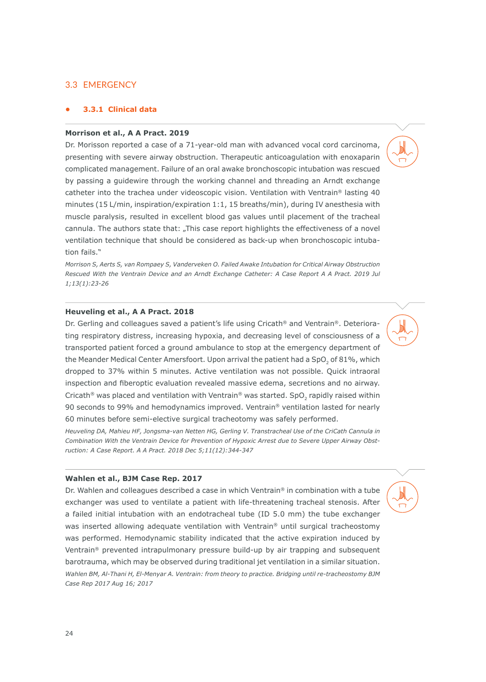# 3.3 EMERGENCY

# **• 3.3.1 Clinical data**

# **Morrison et al., A A Pract. 2019**

Dr. Morisson reported a case of a 71-year-old man with advanced vocal cord carcinoma, presenting with severe airway obstruction. Therapeutic anticoagulation with enoxaparin complicated management. Failure of an oral awake bronchoscopic intubation was rescued by passing a guidewire through the working channel and threading an Arndt exchange catheter into the trachea under videoscopic vision. Ventilation with Ventrain® lasting 40 minutes (15 L/min, inspiration/expiration 1:1, 15 breaths/min), during IV anesthesia with muscle paralysis, resulted in excellent blood gas values until placement of the tracheal cannula. The authors state that: "This case report highlights the effectiveness of a novel ventilation technique that should be considered as back-up when bronchoscopic intubation fails."

*Morrison S, Aerts S, van Rompaey S, Vanderveken O. Failed Awake Intubation for Critical Airway Obstruction Rescued With the Ventrain Device and an Arndt Exchange Catheter: A Case Report A A Pract. 2019 Jul 1;13(1):23-26*

# **Heuveling et al., A A Pract. 2018**

Dr. Gerling and colleagues saved a patient's life using Cricath® and Ventrain®. Deteriorating respiratory distress, increasing hypoxia, and decreasing level of consciousness of a transported patient forced a ground ambulance to stop at the emergency department of the Meander Medical Center Amersfoort. Upon arrival the patient had a SpO, of 81%, which dropped to 37% within 5 minutes. Active ventilation was not possible. Quick intraoral inspection and fiberoptic evaluation revealed massive edema, secretions and no airway. Cricath® was placed and ventilation with Ventrain® was started. SpO, rapidly raised within 90 seconds to 99% and hemodynamics improved. Ventrain® ventilation lasted for nearly 60 minutes before semi-elective surgical tracheotomy was safely performed.

*Heuveling DA, Mahieu HF, Jongsma-van Netten HG, Gerling V. Transtracheal Use of the CriCath Cannula in Combination With the Ventrain Device for Prevention of Hypoxic Arrest due to Severe Upper Airway Obstruction: A Case Report. A A Pract. 2018 Dec 5;11(12):344-347*

#### **Wahlen et al., BJM Case Rep. 2017**

Dr. Wahlen and colleagues described a case in which Ventrain® in combination with a tube exchanger was used to ventilate a patient with life-threatening tracheal stenosis. After a failed initial intubation with an endotracheal tube (ID 5.0 mm) the tube exchanger was inserted allowing adequate ventilation with Ventrain® until surgical tracheostomy was performed. Hemodynamic stability indicated that the active expiration induced by Ventrain® prevented intrapulmonary pressure build-up by air trapping and subsequent barotrauma, which may be observed during traditional jet ventilation in a similar situation. *Wahlen BM, Al-Thani H, El-Menyar A. Ventrain: from theory to practice. Bridging until re-tracheostomy BJM Case Rep 2017 Aug 16; 2017*

24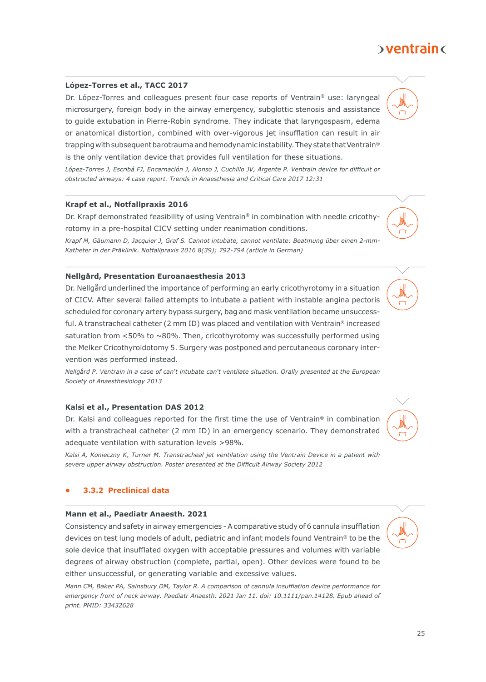# $\delta$  ventrain  $\delta$

# **López-Torres et al., TACC 2017**

Dr. López-Torres and colleagues present four case reports of Ventrain® use: laryngeal microsurgery, foreign body in the airway emergency, subglottic stenosis and assistance to guide extubation in Pierre-Robin syndrome. They indicate that laryngospasm, edema or anatomical distortion, combined with over-vigorous jet insufflation can result in air trapping with subsequent barotrauma and hemodynamic instability. They state that Ventrain® is the only ventilation device that provides full ventilation for these situations.

*López-Torres J, Escribá FJ, Encarnación J, Alonso J, Cuchillo JV, Argente P. Ventrain device for difficult or obstructed airways: 4 case report. Trends in Anaesthesia and Critical Care 2017 12:31*

# **Krapf et al., Notfallpraxis 2016**

Dr. Krapf demonstrated feasibility of using Ventrain® in combination with needle cricothyrotomy in a pre-hospital CICV setting under reanimation conditions.

*Krapf M, Gäumann D, Jacquier J, Graf S. Cannot intubate, cannot ventilate: Beatmung über einen 2-mm-Katheter in der Präklinik. Notfallpraxis 2016 8(39); 792-794 (article in German)*

# **Nellgård, Presentation Euroanaesthesia 2013**

Dr. Nellgård underlined the importance of performing an early cricothyrotomy in a situation of CICV. After several failed attempts to intubate a patient with instable angina pectoris scheduled for coronary artery bypass surgery, bag and mask ventilation became unsuccessful. A transtracheal catheter (2 mm ID) was placed and ventilation with Ventrain® increased saturation from  $<$  50% to  $\sim$  80%. Then, cricothyrotomy was successfully performed using the Melker Cricothyroidotomy 5. Surgery was postponed and percutaneous coronary intervention was performed instead.

*Nellgård P. Ventrain in a case of can't intubate can't ventilate situation. Orally presented at the European Society of Anaesthesiology 2013*

# **Kalsi et al., Presentation DAS 2012**

Dr. Kalsi and colleagues reported for the first time the use of Ventrain® in combination with a transtracheal catheter (2 mm ID) in an emergency scenario. They demonstrated adequate ventilation with saturation levels >98%.

*Kalsi A, Konieczny K, Turner M. Transtracheal jet ventilation using the Ventrain Device in a patient with severe upper airway obstruction. Poster presented at the Difficult Airway Society 2012*

# **• 3.3.2 Preclinical data**

# **Mann et al., Paediatr Anaesth. 2021**

Consistency and safety in airway emergencies - A comparative study of 6 cannula insufflation devices on test lung models of adult, pediatric and infant models found Ventrain® to be the sole device that insufflated oxygen with acceptable pressures and volumes with variable degrees of airway obstruction (complete, partial, open). Other devices were found to be either unsuccessful, or generating variable and excessive values.

*Mann CM, Baker PA, Sainsbury DM, Taylor R. A comparison of cannula insufflation device performance for emergency front of neck airway. Paediatr Anaesth. 2021 Jan 11. doi: 10.1111/pan.14128. Epub ahead of print. PMID: 33432628*







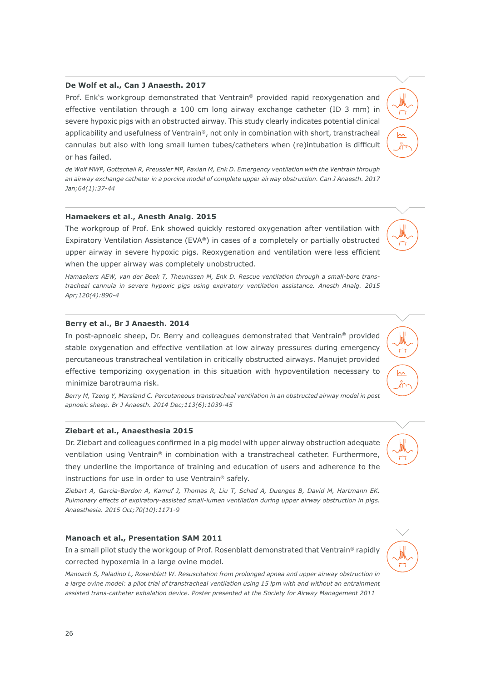# **De Wolf et al., Can J Anaesth. 2017**

Prof. Enk's workgroup demonstrated that Ventrain® provided rapid reoxygenation and effective ventilation through a 100 cm long airway exchange catheter (ID 3 mm) in severe hypoxic pigs with an obstructed airway. This study clearly indicates potential clinical applicability and usefulness of Ventrain®, not only in combination with short, transtracheal cannulas but also with long small lumen tubes/catheters when (re)intubation is difficult or has failed.

*de Wolf MWP, Gottschall R, Preussler MP, Paxian M, Enk D. Emergency ventilation with the Ventrain through an airway exchange catheter in a porcine model of complete upper airway obstruction. Can J Anaesth. 2017 Jan;64(1):37-44*

# **Hamaekers et al., Anesth Analg. 2015**

The workgroup of Prof. Enk showed quickly restored oxygenation after ventilation with Expiratory Ventilation Assistance (EVA®) in cases of a completely or partially obstructed upper airway in severe hypoxic pigs. Reoxygenation and ventilation were less efficient when the upper airway was completely unobstructed.

*Hamaekers AEW, van der Beek T, Theunissen M, Enk D. Rescue ventilation through a small-bore transtracheal cannula in severe hypoxic pigs using expiratory ventilation assistance. Anesth Analg. 2015 Apr;120(4):890-4*

# **Berry et al., Br J Anaesth. 2014**

In post-apnoeic sheep, Dr. Berry and colleagues demonstrated that Ventrain® provided stable oxygenation and effective ventilation at low airway pressures during emergency percutaneous transtracheal ventilation in critically obstructed airways. Manujet provided effective temporizing oxygenation in this situation with hypoventilation necessary to minimize barotrauma risk.

*Berry M, Tzeng Y, Marsland C. Percutaneous transtracheal ventilation in an obstructed airway model in post apnoeic sheep. Br J Anaesth. 2014 Dec;113(6):1039-45*

# **Ziebart et al., Anaesthesia 2015**

Dr. Ziebart and colleagues confirmed in a pig model with upper airway obstruction adequate ventilation using Ventrain® in combination with a transtracheal catheter. Furthermore, they underline the importance of training and education of users and adherence to the instructions for use in order to use Ventrain® safely.

*Ziebart A, Garcia-Bardon A, Kamuf J, Thomas R, Liu T, Schad A, Duenges B, David M, Hartmann EK. Pulmonary effects of expiratory-assisted small-lumen ventilation during upper airway obstruction in pigs. Anaesthesia. 2015 Oct;70(10):1171-9*

# **Manoach et al., Presentation SAM 2011**

In a small pilot study the workgoup of Prof. Rosenblatt demonstrated that Ventrain® rapidly corrected hypoxemia in a large ovine model.

*Manoach S, Paladino L, Rosenblatt W. Resuscitation from prolonged apnea and upper airway obstruction in a large ovine model: a pilot trial of transtracheal ventilation using 15 lpm with and without an entrainment assisted trans-catheter exhalation device. Poster presented at the Society for Airway Management 2011*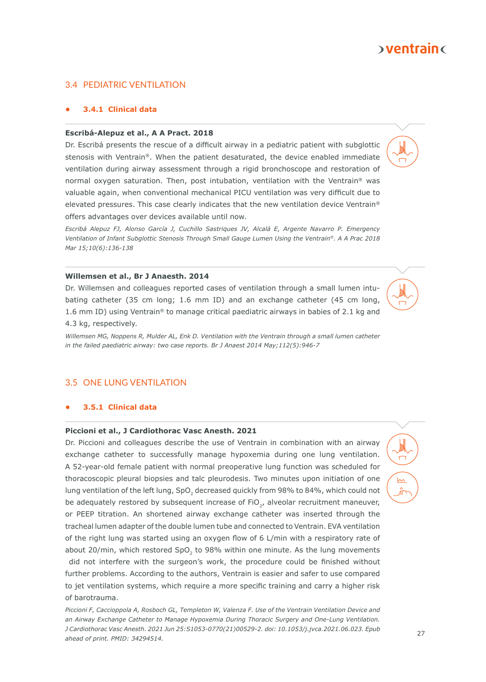# $\delta$  ventrain  $\delta$

# 3.4 PEDIATRIC VENTILATION

# **• 3.4.1 Clinical data**

# **Escribá-Alepuz et al., A A Pract. 2018**

Dr. Escribá presents the rescue of a difficult airway in a pediatric patient with subglottic stenosis with Ventrain®. When the patient desaturated, the device enabled immediate ventilation during airway assessment through a rigid bronchoscope and restoration of normal oxygen saturation. Then, post intubation, ventilation with the Ventrain® was valuable again, when conventional mechanical PICU ventilation was very difficult due to elevated pressures. This case clearly indicates that the new ventilation device Ventrain® offers advantages over devices available until now.

*Escribá Alepuz FJ, Alonso García J, Cuchillo Sastriques JV, Alcalá E, Argente Navarro P. Emergency Ventilation of Infant Subglottic Stenosis Through Small Gauge Lumen Using the Ventrain®. A A Prac 2018 Mar 15;10(6):136-138*

# **Willemsen et al., Br J Anaesth. 2014**

Dr. Willemsen and colleagues reported cases of ventilation through a small lumen intubating catheter (35 cm long; 1.6 mm ID) and an exchange catheter (45 cm long, 1.6 mm ID) using Ventrain<sup>®</sup> to manage critical paediatric airways in babies of 2.1 kg and 4.3 kg, respectively.

*Willemsen MG, Noppens R, Mulder AL, Enk D. Ventilation with the Ventrain through a small lumen catheter in the failed paediatric airway: two case reports. Br J Anaest 2014 May;112(5):946-7*

# 3.5 ONE LUNG VENTILATION

# **• 3.5.1 Clinical data**

# **Piccioni et al., J Cardiothorac Vasc Anesth. 2021**

Dr. Piccioni and colleagues describe the use of Ventrain in combination with an airway exchange catheter to successfully manage hypoxemia during one lung ventilation. A 52-year-old female patient with normal preoperative lung function was scheduled for thoracoscopic pleural biopsies and talc pleurodesis. Two minutes upon initiation of one lung ventilation of the left lung, SpO<sub>2</sub> decreased quickly from 98% to 84%, which could not be adequately restored by subsequent increase of  $FiO<sub>2</sub>$ , alveolar recruitment maneuver, or PEEP titration. An shortened airway exchange catheter was inserted through the tracheal lumen adapter of the double lumen tube and connected to Ventrain. EVA ventilation of the right lung was started using an oxygen flow of 6 L/min with a respiratory rate of about 20/min, which restored SpO, to 98% within one minute. As the lung movements did not interfere with the surgeon's work, the procedure could be finished without further problems. According to the authors, Ventrain is easier and safer to use compared to jet ventilation systems, which require a more specific training and carry a higher risk of barotrauma.

*Piccioni F, Caccioppola A, Rosboch GL, Templeton W, Valenza F. Use of the Ventrain Ventilation Device and an Airway Exchange Catheter to Manage Hypoxemia During Thoracic Surgery and One-Lung Ventilation. J Cardiothorac Vasc Anesth. 2021 Jun 25:S1053-0770(21)00529-2. doi: 10.1053/j.jvca.2021.06.023. Epub ahead of print. PMID: 34294514.*



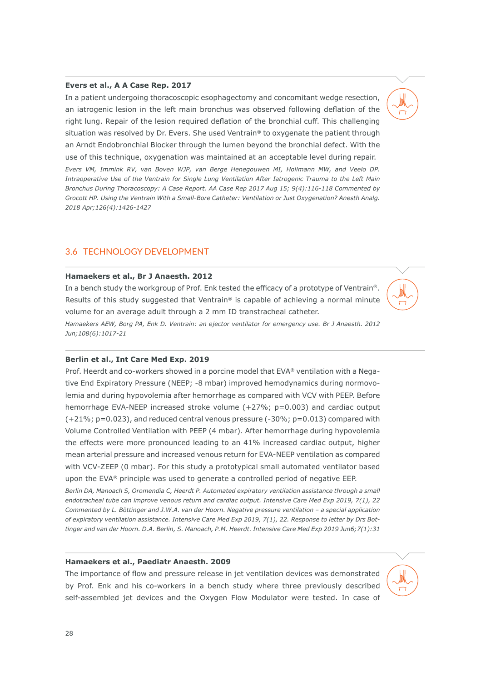# **Evers et al., A A Case Rep. 2017**

In a patient undergoing thoracoscopic esophagectomy and concomitant wedge resection, an iatrogenic lesion in the left main bronchus was observed following deflation of the right lung. Repair of the lesion required deflation of the bronchial cuff. This challenging situation was resolved by Dr. Evers. She used Ventrain® to oxygenate the patient through an Arndt Endobronchial Blocker through the lumen beyond the bronchial defect. With the use of this technique, oxygenation was maintained at an acceptable level during repair. *Evers VM, Immink RV, van Boven WJP, van Berge Henegouwen MI, Hollmann MW, and Veelo DP. Intraoperative Use of the Ventrain for Single Lung Ventilation After Iatrogenic Trauma to the Left Main Bronchus During Thoracoscopy: A Case Report. AA Case Rep 2017 Aug 15; 9(4):116-118 Commented by Grocott HP. Using the Ventrain With a Small-Bore Catheter: Ventilation or Just Oxygenation? Anesth Analg. 2018 Apr;126(4):1426-1427*

# 3.6 TECHNOLOGY DEVELOPMENT

# **Hamaekers et al., Br J Anaesth. 2012**

In a bench study the workgroup of Prof. Enk tested the efficacy of a prototype of Ventrain®. Results of this study suggested that Ventrain<sup>®</sup> is capable of achieving a normal minute volume for an average adult through a 2 mm ID transtracheal catheter.

*Hamaekers AEW, Borg PA, Enk D. Ventrain: an ejector ventilator for emergency use. Br J Anaesth. 2012 Jun;108(6):1017-21*

# **Berlin et al., Int Care Med Exp. 2019**

Prof. Heerdt and co-workers showed in a porcine model that EVA® ventilation with a Negative End Expiratory Pressure (NEEP; -8 mbar) improved hemodynamics during normovolemia and during hypovolemia after hemorrhage as compared with VCV with PEEP. Before hemorrhage EVA-NEEP increased stroke volume (+27%; p=0.003) and cardiac output  $(+21\%; p=0.023)$ , and reduced central venous pressure  $(-30\%; p=0.013)$  compared with Volume Controlled Ventilation with PEEP (4 mbar). After hemorrhage during hypovolemia the effects were more pronounced leading to an 41% increased cardiac output, higher mean arterial pressure and increased venous return for EVA-NEEP ventilation as compared with VCV-ZEEP (0 mbar). For this study a prototypical small automated ventilator based upon the EVA® principle was used to generate a controlled period of negative EEP.

*Berlin DA, Manoach S, Oromendia C, Heerdt P. Automated expiratory ventilation assistance through a small endotracheal tube can improve venous return and cardiac output. Intensive Care Med Exp 2019, 7(1), 22 Commented by L. Böttinger and J.W.A. van der Hoorn. Negative pressure ventilation – a special application of expiratory ventilation assistance. Intensive Care Med Exp 2019, 7(1), 22. Response to letter by Drs Bottinger and van der Hoorn. D.A. Berlin, S. Manoach, P.M. Heerdt. Intensive Care Med Exp 2019 Jun6;7(1):31*

# **Hamaekers et al., Paediatr Anaesth. 2009**

The importance of flow and pressure release in jet ventilation devices was demonstrated by Prof. Enk and his co-workers in a bench study where three previously described self-assembled jet devices and the Oxygen Flow Modulator were tested. In case of

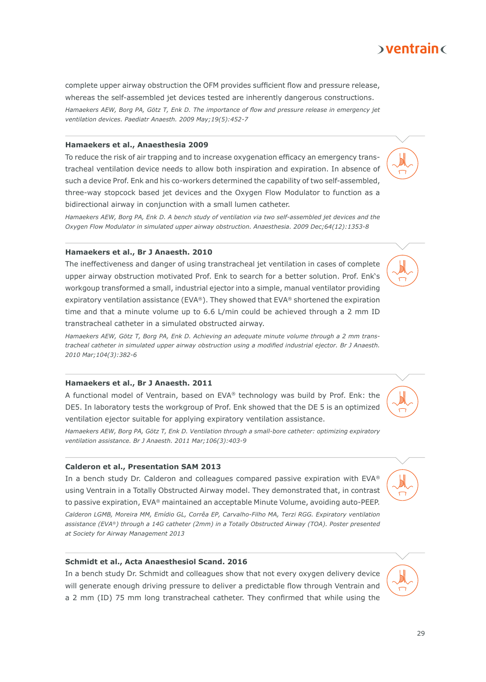# $\delta$  ventrain  $\delta$

complete upper airway obstruction the OFM provides sufficient flow and pressure release, whereas the self-assembled jet devices tested are inherently dangerous constructions. *Hamaekers AEW, Borg PA, Götz T, Enk D. The importance of flow and pressure release in emergency jet ventilation devices. Paediatr Anaesth. 2009 May;19(5):452-7*

# **Hamaekers et al., Anaesthesia 2009**

To reduce the risk of air trapping and to increase oxygenation efficacy an emergency transtracheal ventilation device needs to allow both inspiration and expiration. In absence of such a device Prof. Enk and his co-workers determined the capability of two self-assembled, three-way stopcock based jet devices and the Oxygen Flow Modulator to function as a bidirectional airway in conjunction with a small lumen catheter.

*Hamaekers AEW, Borg PA, Enk D. A bench study of ventilation via two self-assembled jet devices and the Oxygen Flow Modulator in simulated upper airway obstruction. Anaesthesia. 2009 Dec;64(12):1353-8*

# **Hamaekers et al., Br J Anaesth. 2010**

The ineffectiveness and danger of using transtracheal jet ventilation in cases of complete upper airway obstruction motivated Prof. Enk to search for a better solution. Prof. Enk's workgoup transformed a small, industrial ejector into a simple, manual ventilator providing expiratory ventilation assistance ( $EVA^{\circledast}$ ). They showed that  $EVA^{\circledast}$  shortened the expiration time and that a minute volume up to 6.6 L/min could be achieved through a 2 mm ID transtracheal catheter in a simulated obstructed airway.

*Hamaekers AEW, Götz T, Borg PA, Enk D. Achieving an adequate minute volume through a 2 mm transtracheal catheter in simulated upper airway obstruction using a modified industrial ejector. Br J Anaesth. 2010 Mar;104(3):382-6*

# **Hamaekers et al., Br J Anaesth. 2011**

A functional model of Ventrain, based on EVA® technology was build by Prof. Enk: the DE5. In laboratory tests the workgroup of Prof. Enk showed that the DE 5 is an optimized ventilation ejector suitable for applying expiratory ventilation assistance.

*Hamaekers AEW, Borg PA, Götz T, Enk D. Ventilation through a small-bore catheter: optimizing expiratory ventilation assistance. Br J Anaesth. 2011 Mar;106(3):403-9*

# **Calderon et al., Presentation SAM 2013**

In a bench study Dr. Calderon and colleagues compared passive expiration with EVA® using Ventrain in a Totally Obstructed Airway model. They demonstrated that, in contrast to passive expiration, EVA® maintained an acceptable Minute Volume, avoiding auto-PEEP.

*Calderon LGMB, Moreira MM, Emídio GL, Corrêa EP, Carvalho-Filho MA, Terzi RGG. Expiratory ventilation assistance (EVA®) through a 14G catheter (2mm) in a Totally Obstructed Airway (TOA). Poster presented at Society for Airway Management 2013*

# **Schmidt et al., Acta Anaesthesiol Scand. 2016**

In a bench study Dr. Schmidt and colleagues show that not every oxygen delivery device will generate enough driving pressure to deliver a predictable flow through Ventrain and a 2 mm (ID) 75 mm long transtracheal catheter. They confirmed that while using the









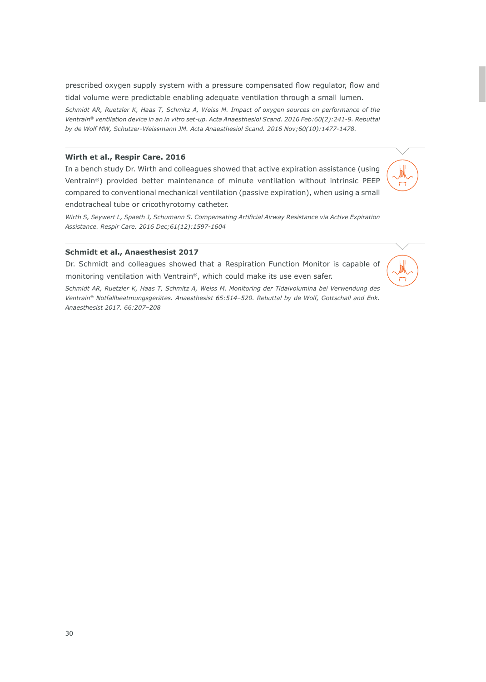prescribed oxygen supply system with a pressure compensated flow regulator, flow and tidal volume were predictable enabling adequate ventilation through a small lumen.

*Schmidt AR, Ruetzler K, Haas T, Schmitz A, Weiss M. Impact of oxygen sources on performance of the Ventrain® ventilation device in an in vitro set-up. Acta Anaesthesiol Scand. 2016 Feb:60(2):241-9. Rebuttal by de Wolf MW, Schutzer-Weissmann JM. Acta Anaesthesiol Scand. 2016 Nov;60(10):1477-1478.*

# **Wirth et al., Respir Care. 2016**

In a bench study Dr. Wirth and colleagues showed that active expiration assistance (using Ventrain®) provided better maintenance of minute ventilation without intrinsic PEEP compared to conventional mechanical ventilation (passive expiration), when using a small endotracheal tube or cricothyrotomy catheter.

*Wirth S, Seywert L, Spaeth J, Schumann S. Compensating Artificial Airway Resistance via Active Expiration Assistance. Respir Care. 2016 Dec;61(12):1597-1604*

# **Schmidt et al., Anaesthesist 2017**

Dr. Schmidt and colleagues showed that a Respiration Function Monitor is capable of monitoring ventilation with Ventrain®, which could make its use even safer.

*Schmidt AR, Ruetzler K, Haas T, Schmitz A, Weiss M. Monitoring der Tidalvolumina bei Verwendung des Ventrain® Notfallbeatmungsgerätes. Anaesthesist 65:514–520. Rebuttal by de Wolf, Gottschall and Enk. Anaesthesist 2017. 66:207–208*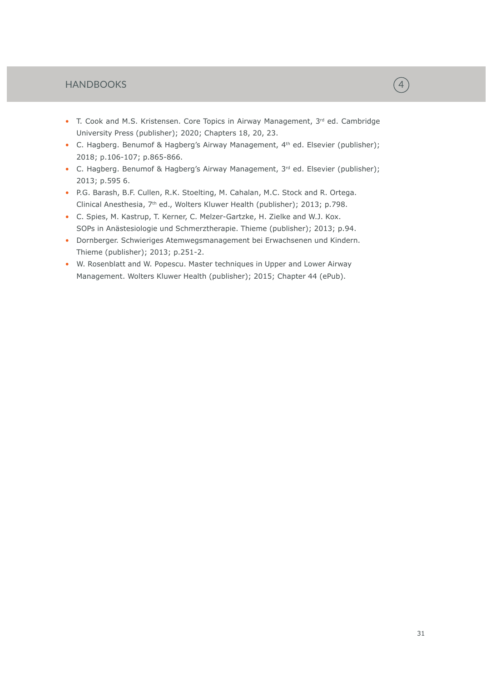# HANDBOOKS

- T. Cook and M.S. Kristensen. Core Topics in Airway Management, 3rd ed. Cambridge University Press (publisher); 2020; Chapters 18, 20, 23.
- C. Hagberg. Benumof & Hagberg's Airway Management, 4<sup>th</sup> ed. Elsevier (publisher); 2018; p.106-107; p.865-866.
- C. Hagberg. Benumof & Hagberg's Airway Management, 3<sup>rd</sup> ed. Elsevier (publisher); 2013; p.595 6.
- P.G. Barash, B.F. Cullen, R.K. Stoelting, M. Cahalan, M.C. Stock and R. Ortega. Clinical Anesthesia, 7<sup>th</sup> ed., Wolters Kluwer Health (publisher); 2013; p.798.
- C. Spies, M. Kastrup, T. Kerner, C. Melzer-Gartzke, H. Zielke and W.J. Kox. SOPs in Anästesiologie und Schmerztherapie. Thieme (publisher); 2013; p.94.
- Dornberger. Schwieriges Atemwegsmanagement bei Erwachsenen und Kindern. Thieme (publisher); 2013; p.251-2.
- W. Rosenblatt and W. Popescu. Master techniques in Upper and Lower Airway Management. Wolters Kluwer Health (publisher); 2015; Chapter 44 (ePub).

31

 $\left(\overline{4}\right)$